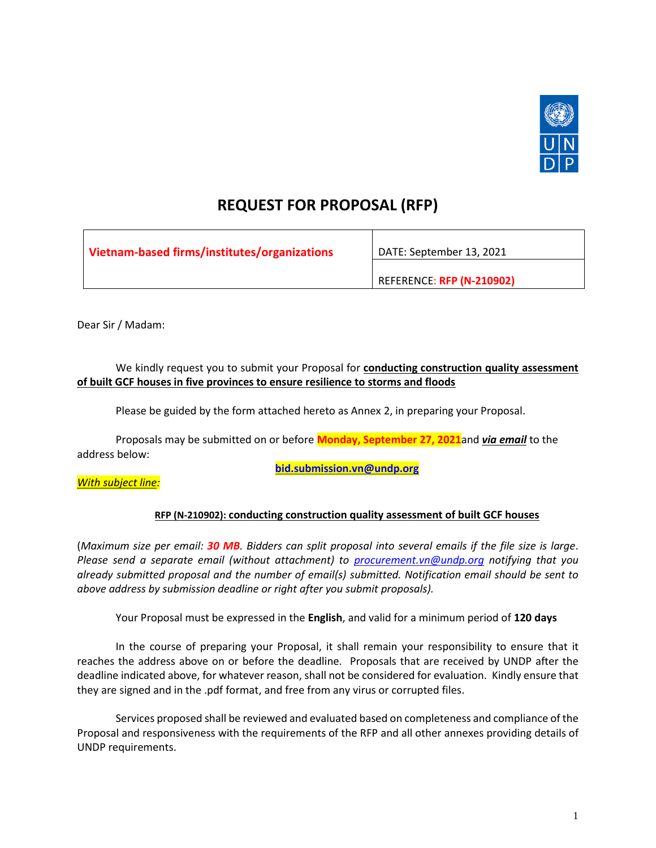

# **REQUEST FOR PROPOSAL (RFP)**

| Vietnam-based firms/institutes/organizations | DATE: September 13, 2021  |
|----------------------------------------------|---------------------------|
|                                              | REFERENCE: RFP (N-210902) |

Dear Sir / Madam:

# We kindly request you to submit your Proposal for **conducting construction quality assessment of built GCF houses in five provinces to ensure resilience to storms and floods**

Please be guided by the form attached hereto as Annex 2, in preparing your Proposal.

Proposals may be submitted on or before **Monday, September 27, 2021**and *via email* to the address below:

**[bid.submission.vn@undp.org](mailto:bid.submission.vn@undp.org)**

*With subject line:*

# **RFP (N-210902): conducting construction quality assessment of built GCF houses**

(*Maximum size per email: 30 MB. Bidders can split proposal into several emails if the file size is large*. *Please send a separate email (without attachment) to [procurement.vn@undp.org](mailto:procurement.vn@undp.org) notifying that you already submitted proposal and the number of email(s) submitted. Notification email should be sent to above address by submission deadline or right after you submit proposals).*

Your Proposal must be expressed in the **English**, and valid for a minimum period of **120 days**

In the course of preparing your Proposal, it shall remain your responsibility to ensure that it reaches the address above on or before the deadline. Proposals that are received by UNDP after the deadline indicated above, for whatever reason, shall not be considered for evaluation. Kindly ensure that they are signed and in the .pdf format, and free from any virus or corrupted files.

Services proposed shall be reviewed and evaluated based on completeness and compliance of the Proposal and responsiveness with the requirements of the RFP and all other annexes providing details of UNDP requirements.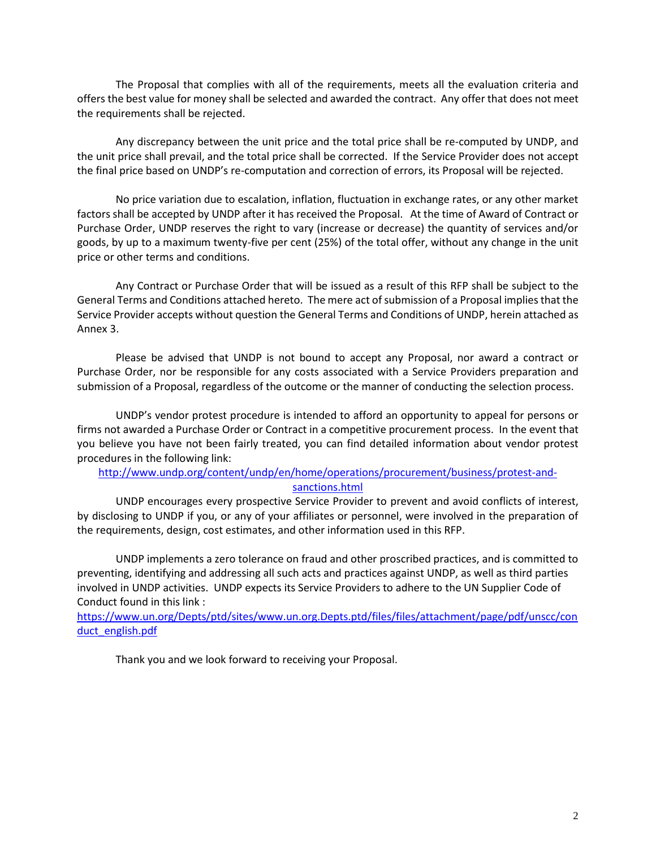The Proposal that complies with all of the requirements, meets all the evaluation criteria and offers the best value for money shall be selected and awarded the contract. Any offer that does not meet the requirements shall be rejected.

Any discrepancy between the unit price and the total price shall be re-computed by UNDP, and the unit price shall prevail, and the total price shall be corrected. If the Service Provider does not accept the final price based on UNDP's re-computation and correction of errors, its Proposal will be rejected.

No price variation due to escalation, inflation, fluctuation in exchange rates, or any other market factors shall be accepted by UNDP after it has received the Proposal. At the time of Award of Contract or Purchase Order, UNDP reserves the right to vary (increase or decrease) the quantity of services and/or goods, by up to a maximum twenty-five per cent (25%) of the total offer, without any change in the unit price or other terms and conditions.

Any Contract or Purchase Order that will be issued as a result of this RFP shall be subject to the General Terms and Conditions attached hereto. The mere act of submission of a Proposal implies that the Service Provider accepts without question the General Terms and Conditions of UNDP, herein attached as Annex 3.

Please be advised that UNDP is not bound to accept any Proposal, nor award a contract or Purchase Order, nor be responsible for any costs associated with a Service Providers preparation and submission of a Proposal, regardless of the outcome or the manner of conducting the selection process.

UNDP's vendor protest procedure is intended to afford an opportunity to appeal for persons or firms not awarded a Purchase Order or Contract in a competitive procurement process. In the event that you believe you have not been fairly treated, you can find detailed information about vendor protest procedures in the following link:

# [http://www.undp.org/content/undp/en/home/operations/procurement/business/protest-and](http://www.undp.org/content/undp/en/home/operations/procurement/business/protest-and-sanctions.html)[sanctions.html](http://www.undp.org/content/undp/en/home/operations/procurement/business/protest-and-sanctions.html)

UNDP encourages every prospective Service Provider to prevent and avoid conflicts of interest, by disclosing to UNDP if you, or any of your affiliates or personnel, were involved in the preparation of the requirements, design, cost estimates, and other information used in this RFP.

UNDP implements a zero tolerance on fraud and other proscribed practices, and is committed to preventing, identifying and addressing all such acts and practices against UNDP, as well as third parties involved in UNDP activities. UNDP expects its Service Providers to adhere to the UN Supplier Code of Conduct found in this link :

[https://www.un.org/Depts/ptd/sites/www.un.org.Depts.ptd/files/files/attachment/page/pdf/unscc/con](https://www.un.org/Depts/ptd/sites/www.un.org.Depts.ptd/files/files/attachment/page/pdf/unscc/conduct_english.pdf) [duct\\_english.pdf](https://www.un.org/Depts/ptd/sites/www.un.org.Depts.ptd/files/files/attachment/page/pdf/unscc/conduct_english.pdf)

Thank you and we look forward to receiving your Proposal.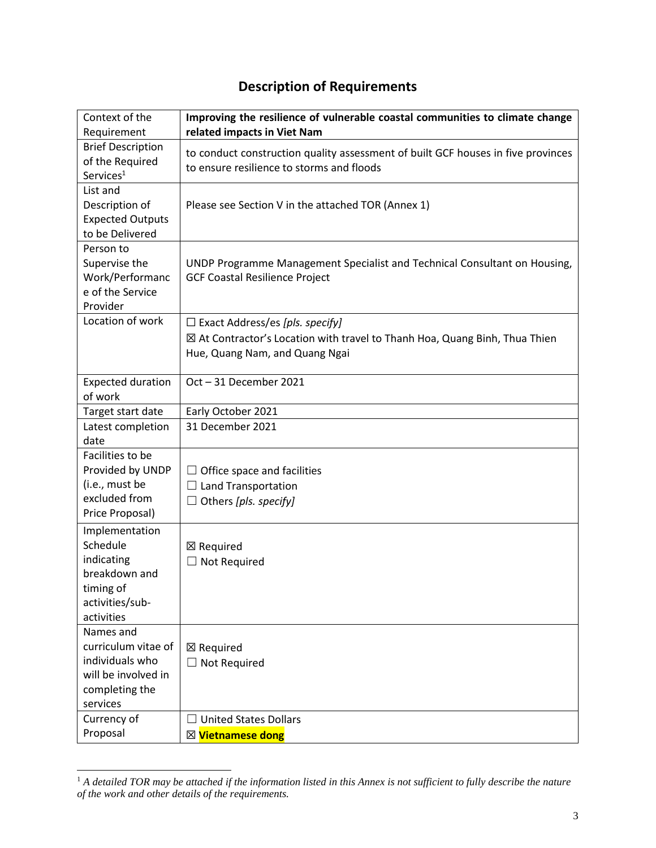# **Description of Requirements**

| Context of the           | Improving the resilience of vulnerable coastal communities to climate change     |
|--------------------------|----------------------------------------------------------------------------------|
| Requirement              | related impacts in Viet Nam                                                      |
| <b>Brief Description</b> | to conduct construction quality assessment of built GCF houses in five provinces |
| of the Required          | to ensure resilience to storms and floods                                        |
| Services <sup>1</sup>    |                                                                                  |
| List and                 |                                                                                  |
| Description of           | Please see Section V in the attached TOR (Annex 1)                               |
| <b>Expected Outputs</b>  |                                                                                  |
| to be Delivered          |                                                                                  |
| Person to                |                                                                                  |
| Supervise the            | UNDP Programme Management Specialist and Technical Consultant on Housing,        |
| Work/Performanc          | <b>GCF Coastal Resilience Project</b>                                            |
| e of the Service         |                                                                                  |
| Provider                 |                                                                                  |
| Location of work         | $\Box$ Exact Address/es [pls. specify]                                           |
|                          | ⊠ At Contractor's Location with travel to Thanh Hoa, Quang Binh, Thua Thien      |
|                          | Hue, Quang Nam, and Quang Ngai                                                   |
|                          |                                                                                  |
| <b>Expected duration</b> | Oct-31 December 2021                                                             |
| of work                  |                                                                                  |
| Target start date        | Early October 2021                                                               |
| Latest completion        | 31 December 2021                                                                 |
| date                     |                                                                                  |
| Facilities to be         |                                                                                  |
| Provided by UNDP         | $\Box$ Office space and facilities                                               |
| (i.e., must be           | $\Box$ Land Transportation                                                       |
| excluded from            | $\Box$ Others [pls. specify]                                                     |
| Price Proposal)          |                                                                                  |
| Implementation           |                                                                                  |
| Schedule                 | ⊠ Required                                                                       |
| indicating               | $\Box$ Not Required                                                              |
| breakdown and            |                                                                                  |
| timing of                |                                                                                  |
| activities/sub-          |                                                                                  |
| activities               |                                                                                  |
| Names and                |                                                                                  |
| curriculum vitae of      | ⊠ Required                                                                       |
| individuals who          | $\Box$ Not Required                                                              |
| will be involved in      |                                                                                  |
| completing the           |                                                                                  |
| services                 |                                                                                  |
| Currency of              | <b>United States Dollars</b>                                                     |
| Proposal                 | ⊠ Vietnamese dong                                                                |

 $1^1$  A detailed TOR may be attached if the information listed in this Annex is not sufficient to fully describe the nature *of the work and other details of the requirements.*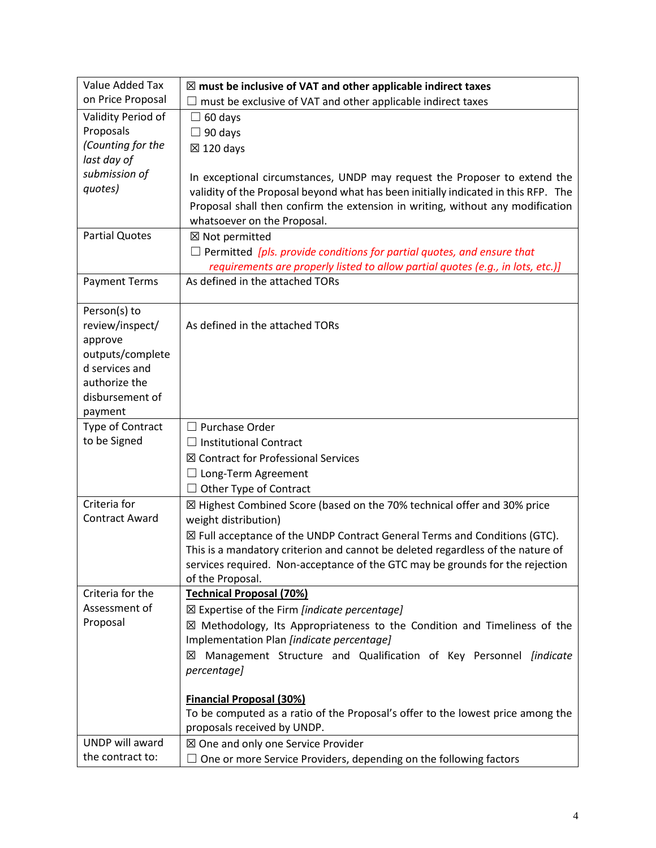| Value Added Tax                    | $\boxtimes$ must be inclusive of VAT and other applicable indirect taxes                                                                                                |
|------------------------------------|-------------------------------------------------------------------------------------------------------------------------------------------------------------------------|
| on Price Proposal                  | must be exclusive of VAT and other applicable indirect taxes                                                                                                            |
| Validity Period of                 | $\Box$ 60 days                                                                                                                                                          |
| Proposals                          | $\Box$ 90 days                                                                                                                                                          |
| (Counting for the                  | $\boxtimes$ 120 days                                                                                                                                                    |
| last day of                        |                                                                                                                                                                         |
| submission of                      | In exceptional circumstances, UNDP may request the Proposer to extend the                                                                                               |
| quotes)                            | validity of the Proposal beyond what has been initially indicated in this RFP. The                                                                                      |
|                                    | Proposal shall then confirm the extension in writing, without any modification                                                                                          |
|                                    | whatsoever on the Proposal.                                                                                                                                             |
| <b>Partial Quotes</b>              | ⊠ Not permitted                                                                                                                                                         |
|                                    | $\Box$ Permitted [pls. provide conditions for partial quotes, and ensure that                                                                                           |
|                                    | requirements are properly listed to allow partial quotes (e.g., in lots, etc.)]                                                                                         |
| <b>Payment Terms</b>               | As defined in the attached TORs                                                                                                                                         |
|                                    |                                                                                                                                                                         |
| Person(s) to                       |                                                                                                                                                                         |
| review/inspect/                    | As defined in the attached TORs                                                                                                                                         |
| approve                            |                                                                                                                                                                         |
| outputs/complete<br>d services and |                                                                                                                                                                         |
| authorize the                      |                                                                                                                                                                         |
| disbursement of                    |                                                                                                                                                                         |
| payment                            |                                                                                                                                                                         |
| Type of Contract                   | $\Box$ Purchase Order                                                                                                                                                   |
| to be Signed                       | $\Box$ Institutional Contract                                                                                                                                           |
|                                    | ⊠ Contract for Professional Services                                                                                                                                    |
|                                    |                                                                                                                                                                         |
|                                    | $\Box$ Long-Term Agreement<br>Other Type of Contract                                                                                                                    |
| Criteria for                       | ⊠ Highest Combined Score (based on the 70% technical offer and 30% price                                                                                                |
| <b>Contract Award</b>              | weight distribution)                                                                                                                                                    |
|                                    |                                                                                                                                                                         |
|                                    | $\boxtimes$ Full acceptance of the UNDP Contract General Terms and Conditions (GTC).<br>This is a mandatory criterion and cannot be deleted regardless of the nature of |
|                                    | services required. Non-acceptance of the GTC may be grounds for the rejection                                                                                           |
|                                    | of the Proposal.                                                                                                                                                        |
| Criteria for the                   | <b>Technical Proposal (70%)</b>                                                                                                                                         |
| Assessment of                      | $\boxtimes$ Expertise of the Firm <i>[indicate percentage]</i>                                                                                                          |
| Proposal                           | $\boxtimes$ Methodology, Its Appropriateness to the Condition and Timeliness of the                                                                                     |
|                                    | Implementation Plan [indicate percentage]                                                                                                                               |
|                                    | Management Structure and Qualification of Key Personnel <i>[indicate</i><br>⊠                                                                                           |
|                                    | percentage]                                                                                                                                                             |
|                                    |                                                                                                                                                                         |
|                                    | <b>Financial Proposal (30%)</b>                                                                                                                                         |
|                                    | To be computed as a ratio of the Proposal's offer to the lowest price among the                                                                                         |
|                                    | proposals received by UNDP.                                                                                                                                             |
| UNDP will award                    | ⊠ One and only one Service Provider                                                                                                                                     |
| the contract to:                   | $\Box$ One or more Service Providers, depending on the following factors                                                                                                |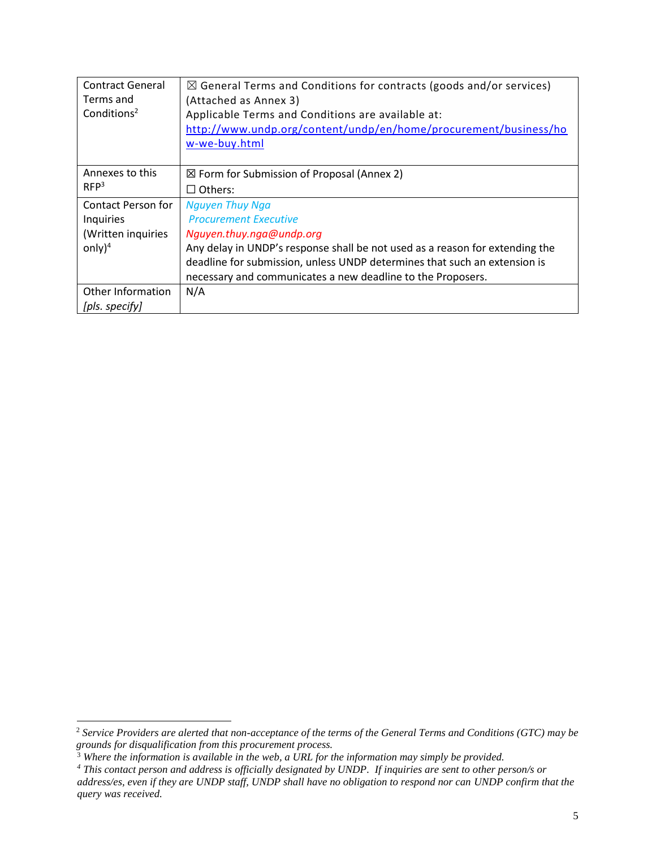| <b>Contract General</b> | $\boxtimes$ General Terms and Conditions for contracts (goods and/or services) |
|-------------------------|--------------------------------------------------------------------------------|
| Terms and               | (Attached as Annex 3)                                                          |
| Conditions <sup>2</sup> | Applicable Terms and Conditions are available at:                              |
|                         | http://www.undp.org/content/undp/en/home/procurement/business/ho               |
|                         | w-we-buy.html                                                                  |
|                         |                                                                                |
| Annexes to this         | $\boxtimes$ Form for Submission of Proposal (Annex 2)                          |
| RFP <sup>3</sup>        | $\Box$ Others:                                                                 |
| Contact Person for      | <b>Nguyen Thuy Nga</b>                                                         |
| Inquiries               | <b>Procurement Executive</b>                                                   |
| (Written inquiries      | Nguyen.thuy.nga@undp.org                                                       |
| only $)^4$              | Any delay in UNDP's response shall be not used as a reason for extending the   |
|                         | deadline for submission, unless UNDP determines that such an extension is      |
|                         | necessary and communicates a new deadline to the Proposers.                    |
| Other Information       | N/A                                                                            |
| [pls. specify]          |                                                                                |

<sup>2</sup> *Service Providers are alerted that non-acceptance of the terms of the General Terms and Conditions (GTC) may be grounds for disqualification from this procurement process.* 

<sup>&</sup>lt;sup>3</sup> Where the information is available in the web, a URL for the information may simply be provided.

*<sup>4</sup> This contact person and address is officially designated by UNDP. If inquiries are sent to other person/s or address/es, even if they are UNDP staff, UNDP shall have no obligation to respond nor can UNDP confirm that the query was received.*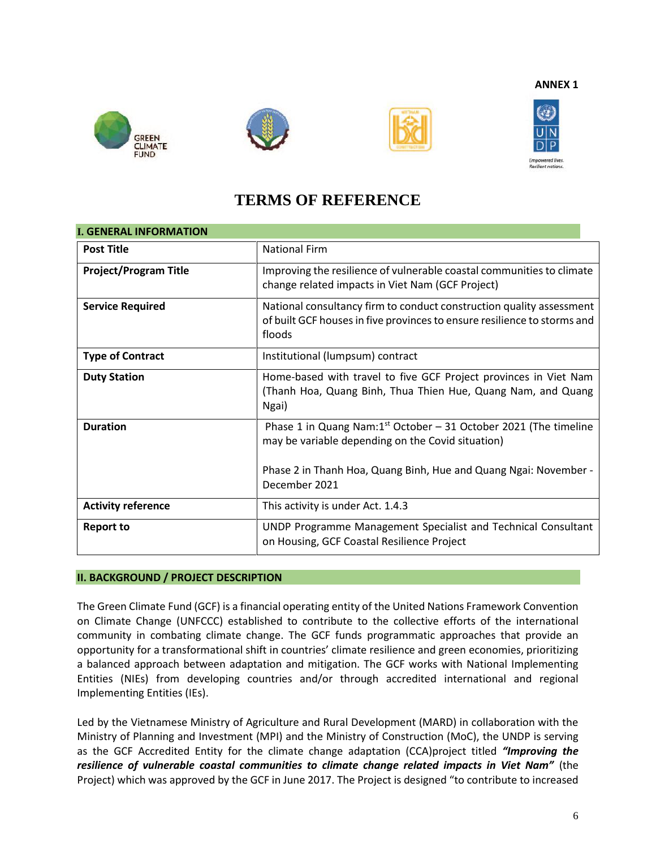**ANNEX 1**









# **TERMS OF REFERENCE**

| <b>I. GENERAL INFORMATION</b> |                                                                                                                                                                                              |  |
|-------------------------------|----------------------------------------------------------------------------------------------------------------------------------------------------------------------------------------------|--|
| <b>Post Title</b>             | <b>National Firm</b>                                                                                                                                                                         |  |
| <b>Project/Program Title</b>  | Improving the resilience of vulnerable coastal communities to climate<br>change related impacts in Viet Nam (GCF Project)                                                                    |  |
| <b>Service Required</b>       | National consultancy firm to conduct construction quality assessment<br>of built GCF houses in five provinces to ensure resilience to storms and<br>floods                                   |  |
| <b>Type of Contract</b>       | Institutional (lumpsum) contract                                                                                                                                                             |  |
| <b>Duty Station</b>           | Home-based with travel to five GCF Project provinces in Viet Nam<br>(Thanh Hoa, Quang Binh, Thua Thien Hue, Quang Nam, and Quang<br>Ngai)                                                    |  |
| <b>Duration</b>               | Phase 1 in Quang Nam: $1st$ October - 31 October 2021 (The timeline<br>may be variable depending on the Covid situation)<br>Phase 2 in Thanh Hoa, Quang Binh, Hue and Quang Ngai: November - |  |
|                               | December 2021                                                                                                                                                                                |  |
| <b>Activity reference</b>     | This activity is under Act. 1.4.3                                                                                                                                                            |  |
| <b>Report to</b>              | UNDP Programme Management Specialist and Technical Consultant<br>on Housing, GCF Coastal Resilience Project                                                                                  |  |

# **II. BACKGROUND / PROJECT DESCRIPTION**

The Green Climate Fund (GCF) is a financial operating entity of the United Nations Framework Convention on Climate Change (UNFCCC) established to contribute to the collective efforts of the international community in combating climate change. The GCF funds programmatic approaches that provide an opportunity for a transformational shift in countries' climate resilience and green economies, prioritizing a balanced approach between adaptation and mitigation. The GCF works with National Implementing Entities (NIEs) from developing countries and/or through accredited international and regional Implementing Entities (IEs).

Led by the Vietnamese Ministry of Agriculture and Rural Development (MARD) in collaboration with the Ministry of Planning and Investment (MPI) and the Ministry of Construction (MoC), the UNDP is serving as the GCF Accredited Entity for the climate change adaptation (CCA)project titled *"Improving the resilience of vulnerable coastal communities to climate change related impacts in Viet Nam"* (the Project) which was approved by the GCF in June 2017. The Project is designed "to contribute to increased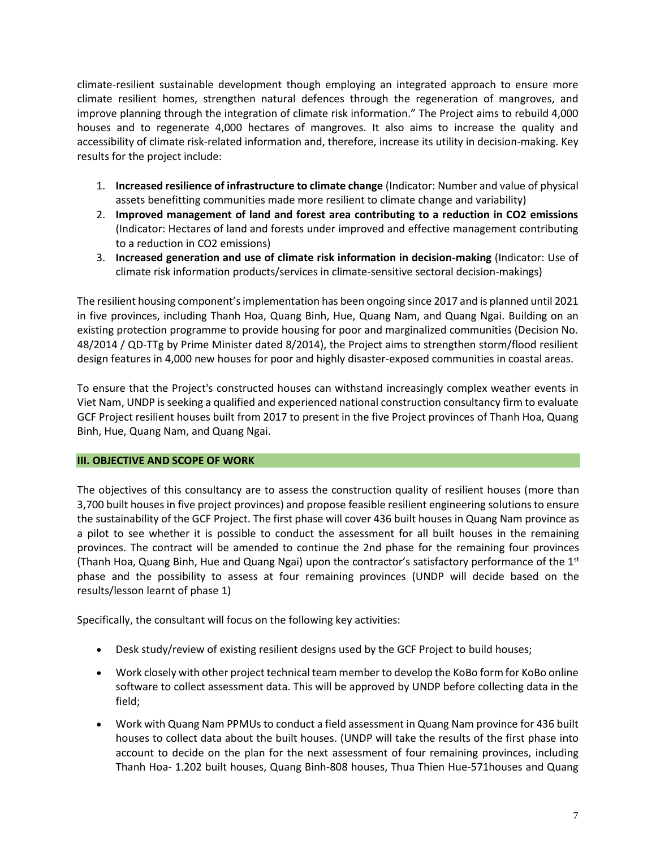climate-resilient sustainable development though employing an integrated approach to ensure more climate resilient homes, strengthen natural defences through the regeneration of mangroves, and improve planning through the integration of climate risk information." The Project aims to rebuild 4,000 houses and to regenerate 4,000 hectares of mangroves. It also aims to increase the quality and accessibility of climate risk-related information and, therefore, increase its utility in decision-making. Key results for the project include:

- 1. **Increased resilience of infrastructure to climate change** (Indicator: Number and value of physical assets benefitting communities made more resilient to climate change and variability)
- 2. **Improved management of land and forest area contributing to a reduction in CO2 emissions**  (Indicator: Hectares of land and forests under improved and effective management contributing to a reduction in CO2 emissions)
- 3. **Increased generation and use of climate risk information in decision-making** (Indicator: Use of climate risk information products/services in climate-sensitive sectoral decision-makings)

The resilient housing component's implementation has been ongoing since 2017 and is planned until 2021 in five provinces, including Thanh Hoa, Quang Binh, Hue, Quang Nam, and Quang Ngai. Building on an existing protection programme to provide housing for poor and marginalized communities (Decision No. 48/2014 / QD-TTg by Prime Minister dated 8/2014), the Project aims to strengthen storm/flood resilient design features in 4,000 new houses for poor and highly disaster-exposed communities in coastal areas.

To ensure that the Project's constructed houses can withstand increasingly complex weather events in Viet Nam, UNDP is seeking a qualified and experienced national construction consultancy firm to evaluate GCF Project resilient houses built from 2017 to present in the five Project provinces of Thanh Hoa, Quang Binh, Hue, Quang Nam, and Quang Ngai.

# **III. OBJECTIVE AND SCOPE OF WORK**

The objectives of this consultancy are to assess the construction quality of resilient houses (more than 3,700 built houses in five project provinces) and propose feasible resilient engineering solutions to ensure the sustainability of the GCF Project. The first phase will cover 436 built houses in Quang Nam province as a pilot to see whether it is possible to conduct the assessment for all built houses in the remaining provinces. The contract will be amended to continue the 2nd phase for the remaining four provinces (Thanh Hoa, Quang Binh, Hue and Quang Ngai) upon the contractor's satisfactory performance of the  $1<sup>st</sup>$ phase and the possibility to assess at four remaining provinces (UNDP will decide based on the results/lesson learnt of phase 1)

Specifically, the consultant will focus on the following key activities:

- Desk study/review of existing resilient designs used by the GCF Project to build houses;
- Work closely with other project technical team member to develop the KoBo form for KoBo online software to collect assessment data. This will be approved by UNDP before collecting data in the field;
- Work with Quang Nam PPMUs to conduct a field assessment in Quang Nam province for 436 built houses to collect data about the built houses. (UNDP will take the results of the first phase into account to decide on the plan for the next assessment of four remaining provinces, including Thanh Hoa- 1.202 built houses, Quang Binh-808 houses, Thua Thien Hue-571houses and Quang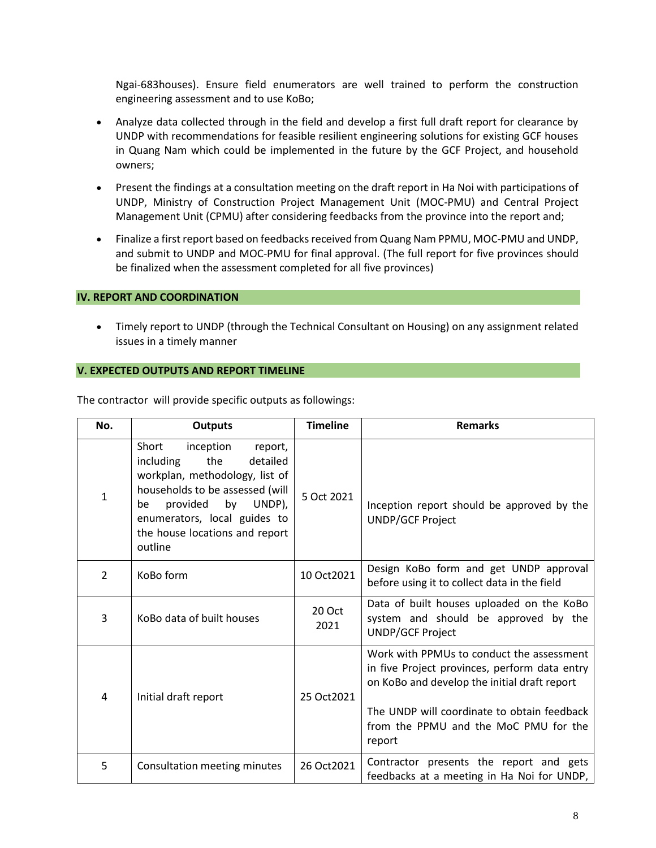Ngai-683houses). Ensure field enumerators are well trained to perform the construction engineering assessment and to use KoBo;

- Analyze data collected through in the field and develop a first full draft report for clearance by UNDP with recommendations for feasible resilient engineering solutions for existing GCF houses in Quang Nam which could be implemented in the future by the GCF Project, and household owners;
- Present the findings at a consultation meeting on the draft report in Ha Noi with participations of UNDP, Ministry of Construction Project Management Unit (MOC-PMU) and Central Project Management Unit (CPMU) after considering feedbacks from the province into the report and;
- Finalize a first report based on feedbacks received from Quang Nam PPMU, MOC-PMU and UNDP, and submit to UNDP and MOC-PMU for final approval. (The full report for five provinces should be finalized when the assessment completed for all five provinces)

# **IV. REPORT AND COORDINATION**

• Timely report to UNDP (through the Technical Consultant on Housing) on any assignment related issues in a timely manner

# **V. EXPECTED OUTPUTS AND REPORT TIMELINE**

| No. | <b>Outputs</b>                                                                                                                                                                                                                                    | <b>Timeline</b> | <b>Remarks</b>                                                                                                                                                                                                                               |
|-----|---------------------------------------------------------------------------------------------------------------------------------------------------------------------------------------------------------------------------------------------------|-----------------|----------------------------------------------------------------------------------------------------------------------------------------------------------------------------------------------------------------------------------------------|
| 1   | Short<br>inception<br>report,<br>including<br>the<br>detailed<br>workplan, methodology, list of<br>households to be assessed (will<br>provided<br>by<br>UNDP),<br>be<br>enumerators, local guides to<br>the house locations and report<br>outline | 5 Oct 2021      | Inception report should be approved by the<br><b>UNDP/GCF Project</b>                                                                                                                                                                        |
| 2   | KoBo form                                                                                                                                                                                                                                         | 10 Oct2021      | Design KoBo form and get UNDP approval<br>before using it to collect data in the field                                                                                                                                                       |
| 3   | KoBo data of built houses                                                                                                                                                                                                                         | 20 Oct<br>2021  | Data of built houses uploaded on the KoBo<br>system and should be approved by the<br><b>UNDP/GCF Project</b>                                                                                                                                 |
| 4   | Initial draft report                                                                                                                                                                                                                              | 25 Oct 2021     | Work with PPMUs to conduct the assessment<br>in five Project provinces, perform data entry<br>on KoBo and develop the initial draft report<br>The UNDP will coordinate to obtain feedback<br>from the PPMU and the MoC PMU for the<br>report |
| 5   | Consultation meeting minutes                                                                                                                                                                                                                      | 26 Oct2021      | Contractor presents the report and gets<br>feedbacks at a meeting in Ha Noi for UNDP,                                                                                                                                                        |

The contractor will provide specific outputs as followings: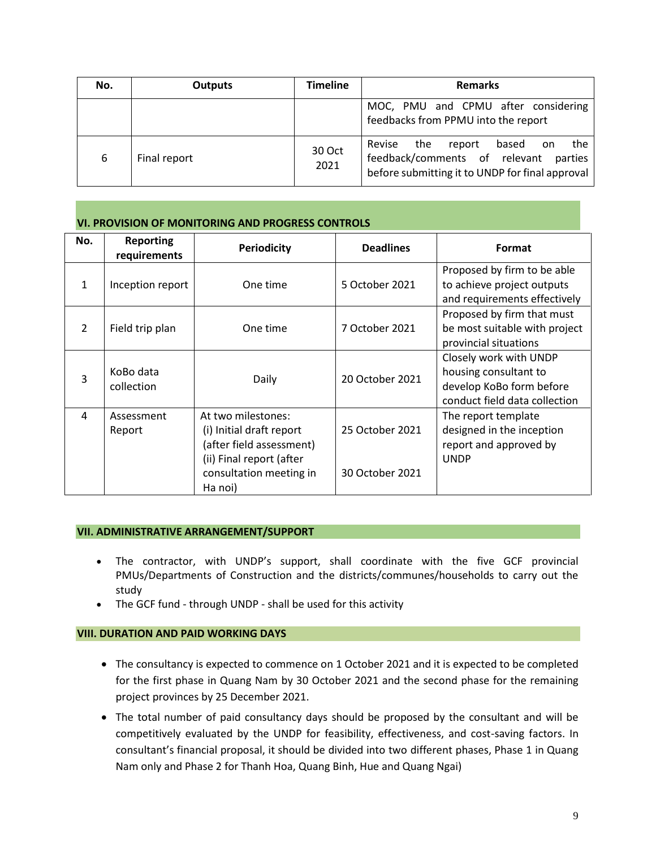| No. | <b>Outputs</b> | <b>Timeline</b> | <b>Remarks</b>                                                                                                                               |  |
|-----|----------------|-----------------|----------------------------------------------------------------------------------------------------------------------------------------------|--|
|     |                |                 | MOC, PMU and CPMU after considering<br>feedbacks from PPMU into the report                                                                   |  |
| 6   | Final report   | 30 Oct<br>2021  | Revise<br>the<br>the<br>based<br>report<br>on<br>feedback/comments of relevant<br>parties<br>before submitting it to UNDP for final approval |  |

# **VI. PROVISION OF MONITORING AND PROGRESS CONTROLS**

| No.            | <b>Reporting</b><br>requirements | <b>Periodicity</b>                                                                                                                           | <b>Deadlines</b>                   | Format                                                                                                       |
|----------------|----------------------------------|----------------------------------------------------------------------------------------------------------------------------------------------|------------------------------------|--------------------------------------------------------------------------------------------------------------|
| $\mathbf{1}$   | Inception report                 | One time                                                                                                                                     | 5 October 2021                     | Proposed by firm to be able<br>to achieve project outputs<br>and requirements effectively                    |
| $\mathcal{P}$  | Field trip plan                  | One time                                                                                                                                     | 7 October 2021                     | Proposed by firm that must<br>be most suitable with project<br>provincial situations                         |
| $\overline{3}$ | KoBo data<br>collection          | Daily                                                                                                                                        | 20 October 2021                    | Closely work with UNDP<br>housing consultant to<br>develop KoBo form before<br>conduct field data collection |
| 4              | Assessment<br>Report             | At two milestones:<br>(i) Initial draft report<br>(after field assessment)<br>(ii) Final report (after<br>consultation meeting in<br>Ha noi) | 25 October 2021<br>30 October 2021 | The report template<br>designed in the inception<br>report and approved by<br><b>UNDP</b>                    |

### **VII. ADMINISTRATIVE ARRANGEMENT/SUPPORT**

- The contractor, with UNDP's support, shall coordinate with the five GCF provincial PMUs/Departments of Construction and the districts/communes/households to carry out the study
- The GCF fund through UNDP shall be used for this activity

# **VIII. DURATION AND PAID WORKING DAYS**

- The consultancy is expected to commence on 1 October 2021 and it is expected to be completed for the first phase in Quang Nam by 30 October 2021 and the second phase for the remaining project provinces by 25 December 2021.
- The total number of paid consultancy days should be proposed by the consultant and will be competitively evaluated by the UNDP for feasibility, effectiveness, and cost-saving factors. In consultant's financial proposal, it should be divided into two different phases, Phase 1 in Quang Nam only and Phase 2 for Thanh Hoa, Quang Binh, Hue and Quang Ngai)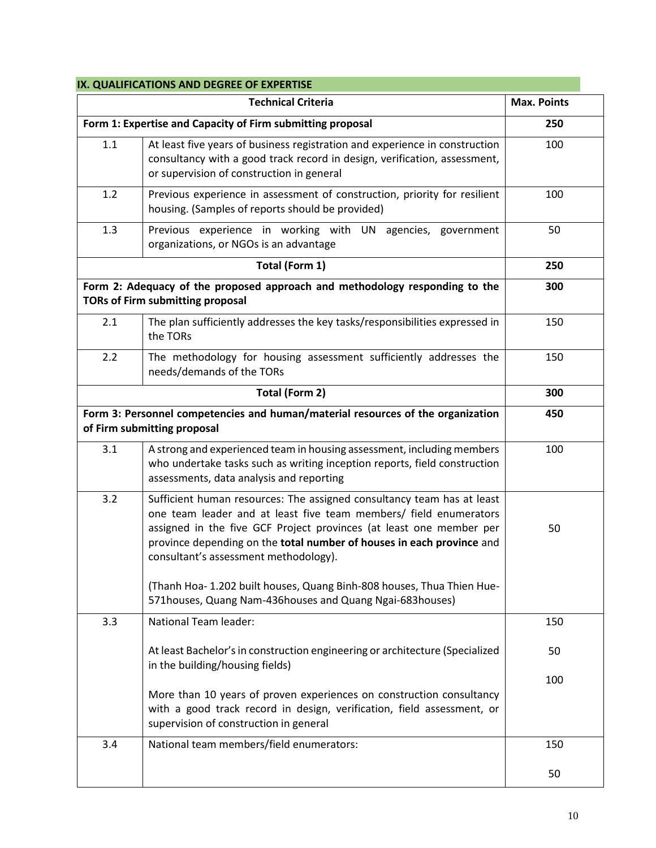# **IX. QUALIFICATIONS AND DEGREE OF EXPERTISE**

|     | <b>Technical Criteria</b>                                                                                                                                                                                                                                                                                                                                                                                                                                                  | <b>Max. Points</b> |
|-----|----------------------------------------------------------------------------------------------------------------------------------------------------------------------------------------------------------------------------------------------------------------------------------------------------------------------------------------------------------------------------------------------------------------------------------------------------------------------------|--------------------|
|     | Form 1: Expertise and Capacity of Firm submitting proposal                                                                                                                                                                                                                                                                                                                                                                                                                 | 250                |
| 1.1 | At least five years of business registration and experience in construction<br>consultancy with a good track record in design, verification, assessment,<br>or supervision of construction in general                                                                                                                                                                                                                                                                      | 100                |
| 1.2 | Previous experience in assessment of construction, priority for resilient<br>housing. (Samples of reports should be provided)                                                                                                                                                                                                                                                                                                                                              | 100                |
| 1.3 | Previous experience in working with UN agencies, government<br>organizations, or NGOs is an advantage                                                                                                                                                                                                                                                                                                                                                                      | 50                 |
|     | Total (Form 1)                                                                                                                                                                                                                                                                                                                                                                                                                                                             | 250                |
|     | Form 2: Adequacy of the proposed approach and methodology responding to the<br><b>TORs of Firm submitting proposal</b>                                                                                                                                                                                                                                                                                                                                                     | 300                |
| 2.1 | The plan sufficiently addresses the key tasks/responsibilities expressed in<br>the TORs                                                                                                                                                                                                                                                                                                                                                                                    | 150                |
| 2.2 | The methodology for housing assessment sufficiently addresses the<br>needs/demands of the TORs                                                                                                                                                                                                                                                                                                                                                                             | 150                |
|     | Total (Form 2)                                                                                                                                                                                                                                                                                                                                                                                                                                                             | 300                |
|     | Form 3: Personnel competencies and human/material resources of the organization<br>of Firm submitting proposal                                                                                                                                                                                                                                                                                                                                                             | 450                |
| 3.1 | A strong and experienced team in housing assessment, including members<br>who undertake tasks such as writing inception reports, field construction<br>assessments, data analysis and reporting                                                                                                                                                                                                                                                                            | 100                |
| 3.2 | Sufficient human resources: The assigned consultancy team has at least<br>one team leader and at least five team members/ field enumerators<br>assigned in the five GCF Project provinces (at least one member per<br>province depending on the total number of houses in each province and<br>consultant's assessment methodology).<br>(Thanh Hoa- 1.202 built houses, Quang Binh-808 houses, Thua Thien Hue-<br>571houses, Quang Nam-436houses and Quang Ngai-683houses) | 50                 |
| 3.3 | <b>National Team leader:</b>                                                                                                                                                                                                                                                                                                                                                                                                                                               | 150                |
|     |                                                                                                                                                                                                                                                                                                                                                                                                                                                                            |                    |
|     | At least Bachelor's in construction engineering or architecture (Specialized<br>in the building/housing fields)                                                                                                                                                                                                                                                                                                                                                            | 50                 |
|     | More than 10 years of proven experiences on construction consultancy<br>with a good track record in design, verification, field assessment, or<br>supervision of construction in general                                                                                                                                                                                                                                                                                   | 100                |
| 3.4 | National team members/field enumerators:                                                                                                                                                                                                                                                                                                                                                                                                                                   | 150                |
|     |                                                                                                                                                                                                                                                                                                                                                                                                                                                                            | 50                 |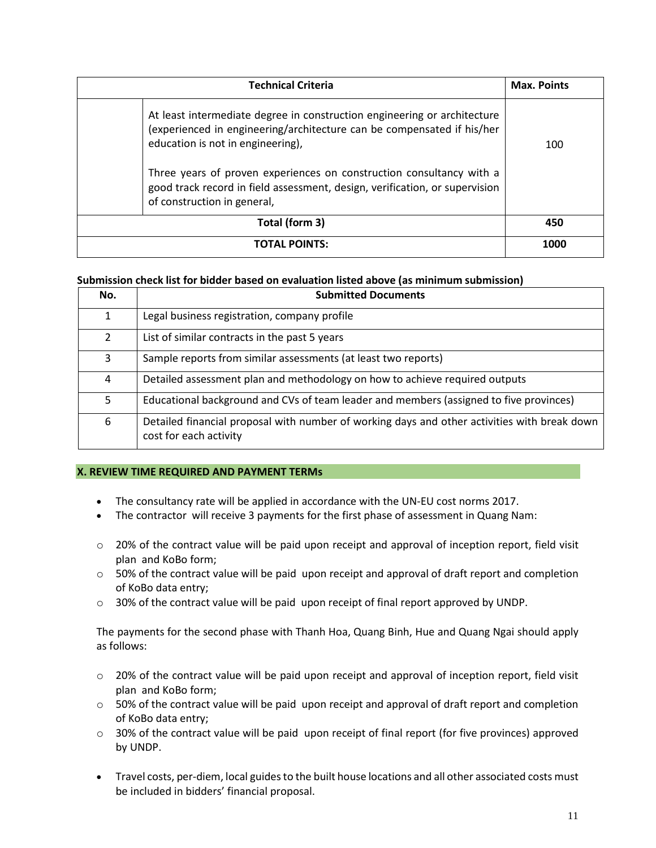| <b>Technical Criteria</b>                                                                                                                                                                                                                                       | <b>Max. Points</b> |
|-----------------------------------------------------------------------------------------------------------------------------------------------------------------------------------------------------------------------------------------------------------------|--------------------|
| At least intermediate degree in construction engineering or architecture<br>(experienced in engineering/architecture can be compensated if his/her<br>education is not in engineering),<br>Three years of proven experiences on construction consultancy with a | 100                |
| good track record in field assessment, design, verification, or supervision<br>of construction in general,                                                                                                                                                      |                    |
| Total (form 3)                                                                                                                                                                                                                                                  | 450                |
| <b>TOTAL POINTS:</b>                                                                                                                                                                                                                                            | 1000               |

# **Submission check list for bidder based on evaluation listed above (as minimum submission)**

| No.            | <b>Submitted Documents</b>                                                                                             |
|----------------|------------------------------------------------------------------------------------------------------------------------|
| 1              | Legal business registration, company profile                                                                           |
| $\overline{2}$ | List of similar contracts in the past 5 years                                                                          |
| 3              | Sample reports from similar assessments (at least two reports)                                                         |
| 4              | Detailed assessment plan and methodology on how to achieve required outputs                                            |
| 5.             | Educational background and CVs of team leader and members (assigned to five provinces)                                 |
| 6              | Detailed financial proposal with number of working days and other activities with break down<br>cost for each activity |

### **X. REVIEW TIME REQUIRED AND PAYMENT TERMs**

- The consultancy rate will be applied in accordance with the UN-EU cost norms 2017.
- The contractor will receive 3 payments for the first phase of assessment in Quang Nam:
- $\circ$  20% of the contract value will be paid upon receipt and approval of inception report, field visit plan and KoBo form;
- $\circ$  50% of the contract value will be paid upon receipt and approval of draft report and completion of KoBo data entry;
- $\circ$  30% of the contract value will be paid upon receipt of final report approved by UNDP.

The payments for the second phase with Thanh Hoa, Quang Binh, Hue and Quang Ngai should apply as follows:

- $\circ$  20% of the contract value will be paid upon receipt and approval of inception report, field visit plan and KoBo form;
- $\circ$  50% of the contract value will be paid upon receipt and approval of draft report and completion of KoBo data entry;
- $\circ$  30% of the contract value will be paid upon receipt of final report (for five provinces) approved by UNDP.
- Travel costs, per-diem, local guides to the built house locations and all other associated costs must be included in bidders' financial proposal.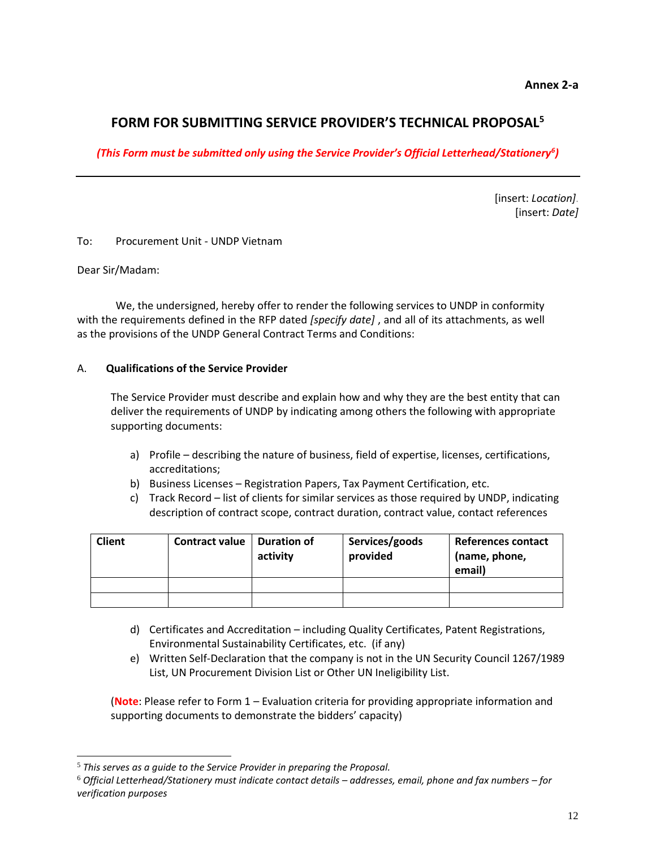**Annex 2-a**

# **FORM FOR SUBMITTING SERVICE PROVIDER'S TECHNICAL PROPOSAL<sup>5</sup>**

*(This Form must be submitted only using the Service Provider's Official Letterhead/Stationery<sup>6</sup> )*

[insert: *Location]*. [insert: *Date]*

To: Procurement Unit - UNDP Vietnam

Dear Sir/Madam:

We, the undersigned, hereby offer to render the following services to UNDP in conformity with the requirements defined in the RFP dated *[specify date]* , and all of its attachments, as well as the provisions of the UNDP General Contract Terms and Conditions:

# A. **Qualifications of the Service Provider**

The Service Provider must describe and explain how and why they are the best entity that can deliver the requirements of UNDP by indicating among others the following with appropriate supporting documents:

- a) Profile describing the nature of business, field of expertise, licenses, certifications, accreditations;
- b) Business Licenses Registration Papers, Tax Payment Certification, etc.
- c) Track Record list of clients for similar services as those required by UNDP, indicating description of contract scope, contract duration, contract value, contact references

| <b>Client</b> | <b>Contract value</b> | Duration of<br>activity | Services/goods<br>provided | References contact<br>(name, phone,<br>email) |
|---------------|-----------------------|-------------------------|----------------------------|-----------------------------------------------|
|               |                       |                         |                            |                                               |
|               |                       |                         |                            |                                               |

- d) Certificates and Accreditation including Quality Certificates, Patent Registrations, Environmental Sustainability Certificates, etc. (if any)
- e) Written Self-Declaration that the company is not in the UN Security Council 1267/1989 List, UN Procurement Division List or Other UN Ineligibility List.

(**Note**: Please refer to Form 1 – Evaluation criteria for providing appropriate information and supporting documents to demonstrate the bidders' capacity)

<sup>5</sup> *This serves as a guide to the Service Provider in preparing the Proposal.* 

<sup>6</sup> *Official Letterhead/Stationery must indicate contact details – addresses, email, phone and fax numbers – for verification purposes*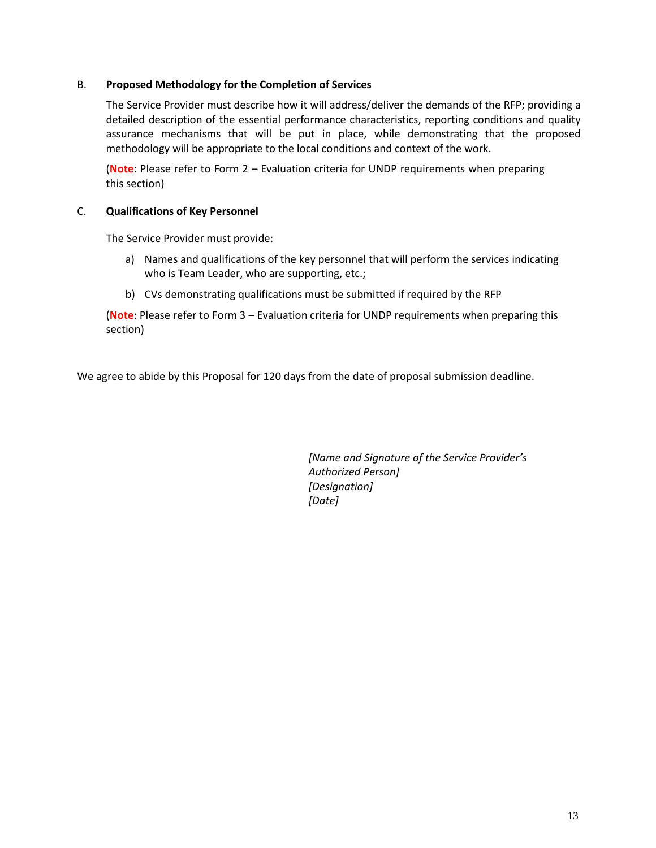# B. **Proposed Methodology for the Completion of Services**

The Service Provider must describe how it will address/deliver the demands of the RFP; providing a detailed description of the essential performance characteristics, reporting conditions and quality assurance mechanisms that will be put in place, while demonstrating that the proposed methodology will be appropriate to the local conditions and context of the work.

(**Note**: Please refer to Form 2 – Evaluation criteria for UNDP requirements when preparing this section)

# C. **Qualifications of Key Personnel**

The Service Provider must provide:

- a) Names and qualifications of the key personnel that will perform the services indicating who is Team Leader, who are supporting, etc.;
- b) CVs demonstrating qualifications must be submitted if required by the RFP

(**Note**: Please refer to Form 3 – Evaluation criteria for UNDP requirements when preparing this section)

We agree to abide by this Proposal for 120 days from the date of proposal submission deadline.

*[Name and Signature of the Service Provider's Authorized Person] [Designation] [Date]*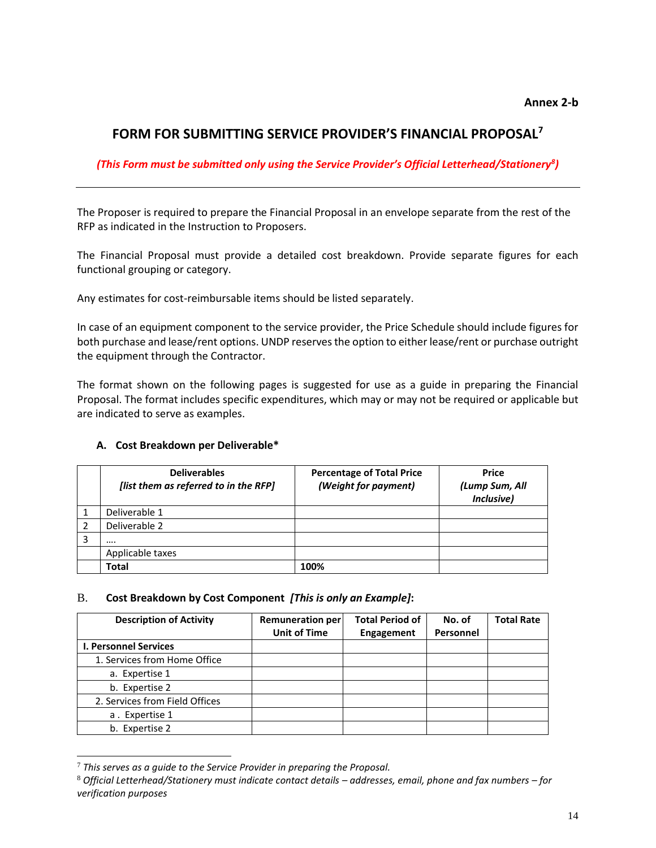# **FORM FOR SUBMITTING SERVICE PROVIDER'S FINANCIAL PROPOSAL<sup>7</sup>**

# *(This Form must be submitted only using the Service Provider's Official Letterhead/Stationery<sup>8</sup> )*

The Proposer is required to prepare the Financial Proposal in an envelope separate from the rest of the RFP as indicated in the Instruction to Proposers.

The Financial Proposal must provide a detailed cost breakdown. Provide separate figures for each functional grouping or category.

Any estimates for cost-reimbursable items should be listed separately.

In case of an equipment component to the service provider, the Price Schedule should include figures for both purchase and lease/rent options. UNDP reserves the option to either lease/rent or purchase outright the equipment through the Contractor.

The format shown on the following pages is suggested for use as a guide in preparing the Financial Proposal. The format includes specific expenditures, which may or may not be required or applicable but are indicated to serve as examples.

# **A. Cost Breakdown per Deliverable\***

| <b>Deliverables</b><br>[list them as referred to in the RFP] | <b>Percentage of Total Price</b><br>(Weight for payment) | <b>Price</b><br>(Lump Sum, All<br>Inclusive) |
|--------------------------------------------------------------|----------------------------------------------------------|----------------------------------------------|
| Deliverable 1                                                |                                                          |                                              |
| Deliverable 2                                                |                                                          |                                              |
|                                                              |                                                          |                                              |
| Applicable taxes                                             |                                                          |                                              |
| Total                                                        | 100%                                                     |                                              |

# B. **Cost Breakdown by Cost Component** *[This is only an Example]***:**

| <b>Description of Activity</b> | <b>Remuneration per</b> | <b>Total Period of</b> | No. of    | <b>Total Rate</b> |
|--------------------------------|-------------------------|------------------------|-----------|-------------------|
|                                | <b>Unit of Time</b>     | Engagement             | Personnel |                   |
| <b>I. Personnel Services</b>   |                         |                        |           |                   |
| 1. Services from Home Office   |                         |                        |           |                   |
| a. Expertise 1                 |                         |                        |           |                   |
| b. Expertise 2                 |                         |                        |           |                   |
| 2. Services from Field Offices |                         |                        |           |                   |
| a. Expertise 1                 |                         |                        |           |                   |
| b. Expertise 2                 |                         |                        |           |                   |

<sup>7</sup> *This serves as a guide to the Service Provider in preparing the Proposal.* 

<sup>8</sup> *Official Letterhead/Stationery must indicate contact details – addresses, email, phone and fax numbers – for verification purposes*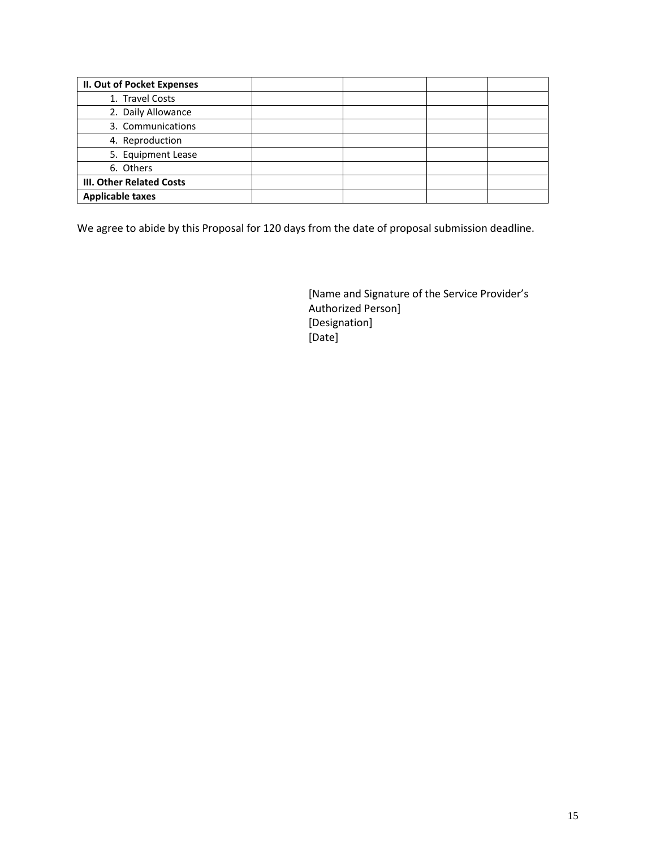| II. Out of Pocket Expenses      |  |  |
|---------------------------------|--|--|
| 1. Travel Costs                 |  |  |
| 2. Daily Allowance              |  |  |
| 3. Communications               |  |  |
| 4. Reproduction                 |  |  |
| 5. Equipment Lease              |  |  |
| 6. Others                       |  |  |
| <b>III. Other Related Costs</b> |  |  |
| <b>Applicable taxes</b>         |  |  |

We agree to abide by this Proposal for 120 days from the date of proposal submission deadline.

[Name and Signature of the Service Provider's Authorized Person] [Designation] [Date]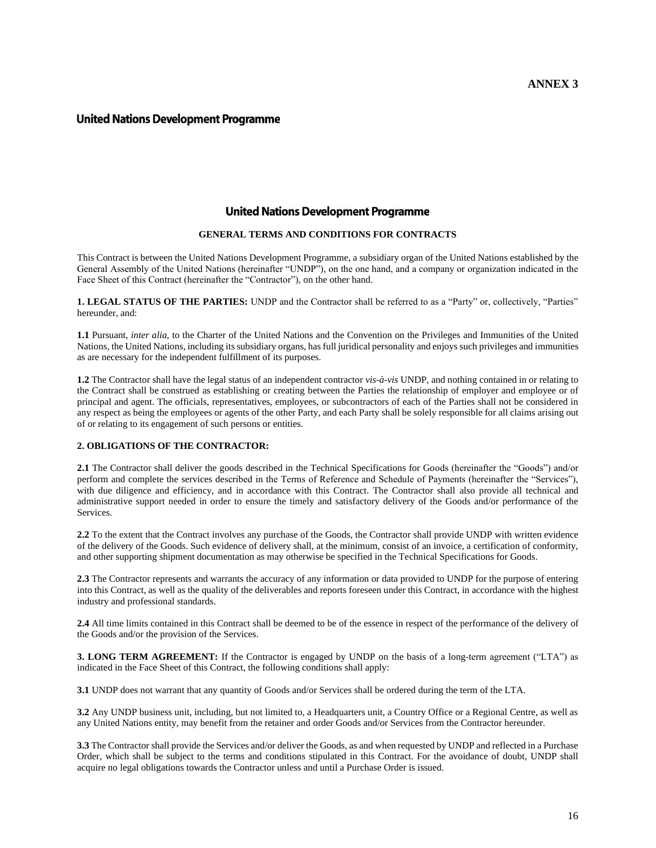#### **United Nations Development Programme**

### **United Nations Development Programme**

#### **GENERAL TERMS AND CONDITIONS FOR CONTRACTS**

This Contract is between the United Nations Development Programme, a subsidiary organ of the United Nations established by the General Assembly of the United Nations (hereinafter "UNDP"), on the one hand, and a company or organization indicated in the Face Sheet of this Contract (hereinafter the "Contractor"), on the other hand.

**1. LEGAL STATUS OF THE PARTIES:** UNDP and the Contractor shall be referred to as a "Party" or, collectively, "Parties" hereunder, and:

**1.1** Pursuant, *inter alia,* to the Charter of the United Nations and the Convention on the Privileges and Immunities of the United Nations, the United Nations, including its subsidiary organs, has full juridical personality and enjoys such privileges and immunities as are necessary for the independent fulfillment of its purposes.

**1.2** The Contractor shall have the legal status of an independent contractor *vis-à-vis* UNDP, and nothing contained in or relating to the Contract shall be construed as establishing or creating between the Parties the relationship of employer and employee or of principal and agent. The officials, representatives, employees, or subcontractors of each of the Parties shall not be considered in any respect as being the employees or agents of the other Party, and each Party shall be solely responsible for all claims arising out of or relating to its engagement of such persons or entities.

#### **2. OBLIGATIONS OF THE CONTRACTOR:**

**2.1** The Contractor shall deliver the goods described in the Technical Specifications for Goods (hereinafter the "Goods") and/or perform and complete the services described in the Terms of Reference and Schedule of Payments (hereinafter the "Services"), with due diligence and efficiency, and in accordance with this Contract. The Contractor shall also provide all technical and administrative support needed in order to ensure the timely and satisfactory delivery of the Goods and/or performance of the Services.

**2.2** To the extent that the Contract involves any purchase of the Goods, the Contractor shall provide UNDP with written evidence of the delivery of the Goods. Such evidence of delivery shall, at the minimum, consist of an invoice, a certification of conformity, and other supporting shipment documentation as may otherwise be specified in the Technical Specifications for Goods.

**2.3** The Contractor represents and warrants the accuracy of any information or data provided to UNDP for the purpose of entering into this Contract, as well as the quality of the deliverables and reports foreseen under this Contract, in accordance with the highest industry and professional standards.

**2.4** All time limits contained in this Contract shall be deemed to be of the essence in respect of the performance of the delivery of the Goods and/or the provision of the Services.

**3. LONG TERM AGREEMENT:** If the Contractor is engaged by UNDP on the basis of a long-term agreement ("LTA") as indicated in the Face Sheet of this Contract, the following conditions shall apply:

**3.1** UNDP does not warrant that any quantity of Goods and/or Services shall be ordered during the term of the LTA.

**3.2** Any UNDP business unit, including, but not limited to, a Headquarters unit, a Country Office or a Regional Centre, as well as any United Nations entity, may benefit from the retainer and order Goods and/or Services from the Contractor hereunder.

**3.3** The Contractor shall provide the Services and/or deliver the Goods, as and when requested by UNDP and reflected in a Purchase Order, which shall be subject to the terms and conditions stipulated in this Contract. For the avoidance of doubt, UNDP shall acquire no legal obligations towards the Contractor unless and until a Purchase Order is issued.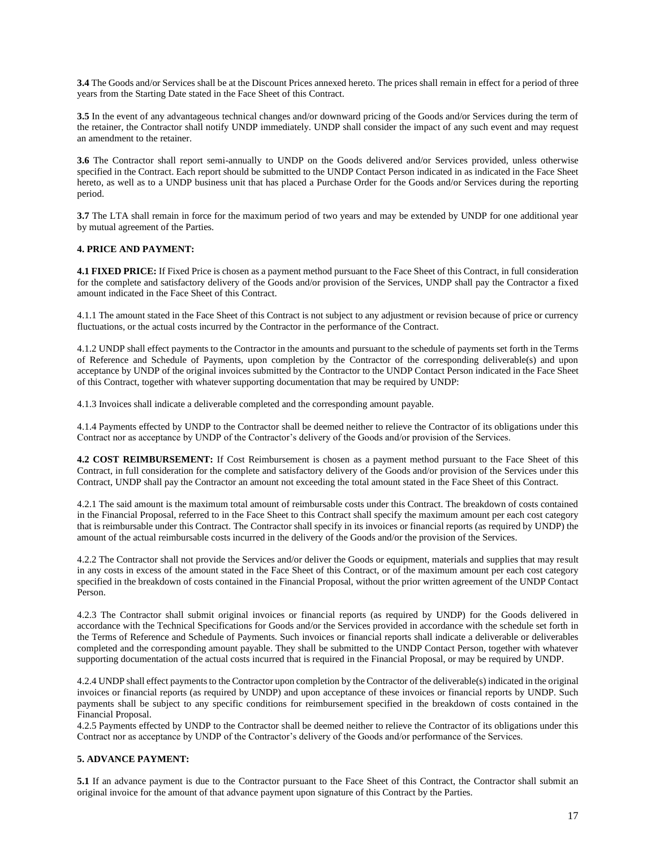**3.4** The Goods and/or Services shall be at the Discount Prices annexed hereto. The prices shall remain in effect for a period of three years from the Starting Date stated in the Face Sheet of this Contract.

**3.5** In the event of any advantageous technical changes and/or downward pricing of the Goods and/or Services during the term of the retainer, the Contractor shall notify UNDP immediately. UNDP shall consider the impact of any such event and may request an amendment to the retainer.

**3.6** The Contractor shall report semi-annually to UNDP on the Goods delivered and/or Services provided, unless otherwise specified in the Contract. Each report should be submitted to the UNDP Contact Person indicated in as indicated in the Face Sheet hereto, as well as to a UNDP business unit that has placed a Purchase Order for the Goods and/or Services during the reporting period.

**3.7** The LTA shall remain in force for the maximum period of two years and may be extended by UNDP for one additional year by mutual agreement of the Parties.

#### **4. PRICE AND PAYMENT:**

**4.1 FIXED PRICE:** If Fixed Price is chosen as a payment method pursuant to the Face Sheet of this Contract, in full consideration for the complete and satisfactory delivery of the Goods and/or provision of the Services, UNDP shall pay the Contractor a fixed amount indicated in the Face Sheet of this Contract.

4.1.1 The amount stated in the Face Sheet of this Contract is not subject to any adjustment or revision because of price or currency fluctuations, or the actual costs incurred by the Contractor in the performance of the Contract.

4.1.2 UNDP shall effect payments to the Contractor in the amounts and pursuant to the schedule of payments set forth in the Terms of Reference and Schedule of Payments, upon completion by the Contractor of the corresponding deliverable(s) and upon acceptance by UNDP of the original invoices submitted by the Contractor to the UNDP Contact Person indicated in the Face Sheet of this Contract, together with whatever supporting documentation that may be required by UNDP:

4.1.3 Invoices shall indicate a deliverable completed and the corresponding amount payable.

4.1.4 Payments effected by UNDP to the Contractor shall be deemed neither to relieve the Contractor of its obligations under this Contract nor as acceptance by UNDP of the Contractor's delivery of the Goods and/or provision of the Services.

**4.2 COST REIMBURSEMENT:** If Cost Reimbursement is chosen as a payment method pursuant to the Face Sheet of this Contract, in full consideration for the complete and satisfactory delivery of the Goods and/or provision of the Services under this Contract, UNDP shall pay the Contractor an amount not exceeding the total amount stated in the Face Sheet of this Contract.

4.2.1 The said amount is the maximum total amount of reimbursable costs under this Contract. The breakdown of costs contained in the Financial Proposal, referred to in the Face Sheet to this Contract shall specify the maximum amount per each cost category that is reimbursable under this Contract. The Contractor shall specify in its invoices or financial reports (as required by UNDP) the amount of the actual reimbursable costs incurred in the delivery of the Goods and/or the provision of the Services.

4.2.2 The Contractor shall not provide the Services and/or deliver the Goods or equipment, materials and supplies that may result in any costs in excess of the amount stated in the Face Sheet of this Contract, or of the maximum amount per each cost category specified in the breakdown of costs contained in the Financial Proposal, without the prior written agreement of the UNDP Contact Person.

4.2.3 The Contractor shall submit original invoices or financial reports (as required by UNDP) for the Goods delivered in accordance with the Technical Specifications for Goods and/or the Services provided in accordance with the schedule set forth in the Terms of Reference and Schedule of Payments. Such invoices or financial reports shall indicate a deliverable or deliverables completed and the corresponding amount payable. They shall be submitted to the UNDP Contact Person, together with whatever supporting documentation of the actual costs incurred that is required in the Financial Proposal, or may be required by UNDP.

4.2.4 UNDP shall effect payments to the Contractor upon completion by the Contractor of the deliverable(s) indicated in the original invoices or financial reports (as required by UNDP) and upon acceptance of these invoices or financial reports by UNDP. Such payments shall be subject to any specific conditions for reimbursement specified in the breakdown of costs contained in the Financial Proposal.

4.2.5 Payments effected by UNDP to the Contractor shall be deemed neither to relieve the Contractor of its obligations under this Contract nor as acceptance by UNDP of the Contractor's delivery of the Goods and/or performance of the Services.

### **5. ADVANCE PAYMENT:**

**5.1** If an advance payment is due to the Contractor pursuant to the Face Sheet of this Contract, the Contractor shall submit an original invoice for the amount of that advance payment upon signature of this Contract by the Parties.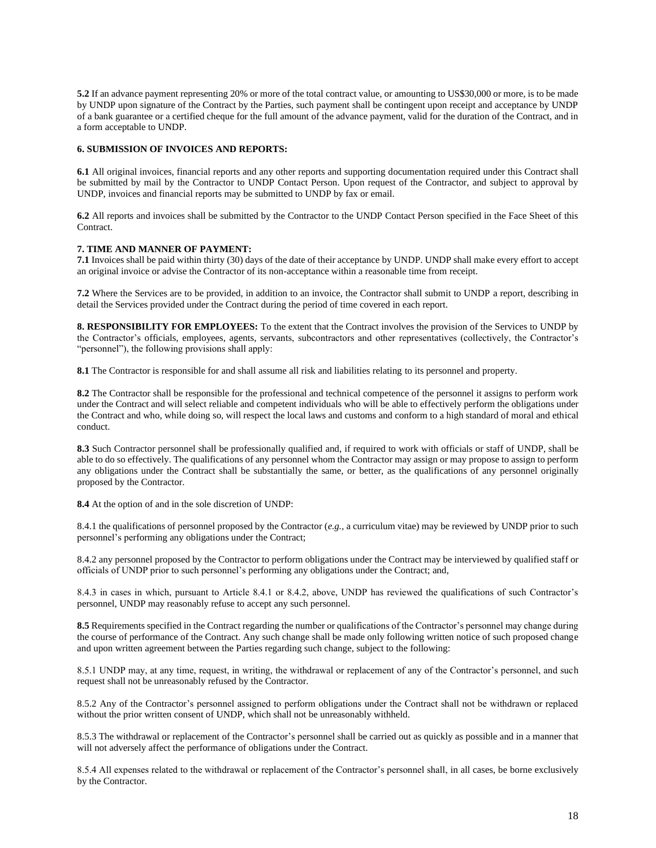**5.2** If an advance payment representing 20% or more of the total contract value, or amounting to US\$30,000 or more, is to be made by UNDP upon signature of the Contract by the Parties, such payment shall be contingent upon receipt and acceptance by UNDP of a bank guarantee or a certified cheque for the full amount of the advance payment, valid for the duration of the Contract, and in a form acceptable to UNDP.

#### **6. SUBMISSION OF INVOICES AND REPORTS:**

**6.1** All original invoices, financial reports and any other reports and supporting documentation required under this Contract shall be submitted by mail by the Contractor to UNDP Contact Person. Upon request of the Contractor, and subject to approval by UNDP, invoices and financial reports may be submitted to UNDP by fax or email.

**6.2** All reports and invoices shall be submitted by the Contractor to the UNDP Contact Person specified in the Face Sheet of this Contract.

#### **7. TIME AND MANNER OF PAYMENT:**

**7.1** Invoices shall be paid within thirty (30) days of the date of their acceptance by UNDP. UNDP shall make every effort to accept an original invoice or advise the Contractor of its non-acceptance within a reasonable time from receipt.

**7.2** Where the Services are to be provided, in addition to an invoice, the Contractor shall submit to UNDP a report, describing in detail the Services provided under the Contract during the period of time covered in each report.

**8. RESPONSIBILITY FOR EMPLOYEES:** To the extent that the Contract involves the provision of the Services to UNDP by the Contractor's officials, employees, agents, servants, subcontractors and other representatives (collectively, the Contractor's "personnel"), the following provisions shall apply:

**8.1** The Contractor is responsible for and shall assume all risk and liabilities relating to its personnel and property.

**8.2** The Contractor shall be responsible for the professional and technical competence of the personnel it assigns to perform work under the Contract and will select reliable and competent individuals who will be able to effectively perform the obligations under the Contract and who, while doing so, will respect the local laws and customs and conform to a high standard of moral and ethical conduct.

**8.3** Such Contractor personnel shall be professionally qualified and, if required to work with officials or staff of UNDP, shall be able to do so effectively. The qualifications of any personnel whom the Contractor may assign or may propose to assign to perform any obligations under the Contract shall be substantially the same, or better, as the qualifications of any personnel originally proposed by the Contractor.

**8.4** At the option of and in the sole discretion of UNDP:

8.4.1 the qualifications of personnel proposed by the Contractor (*e.g.,* a curriculum vitae) may be reviewed by UNDP prior to such personnel's performing any obligations under the Contract;

8.4.2 any personnel proposed by the Contractor to perform obligations under the Contract may be interviewed by qualified staff or officials of UNDP prior to such personnel's performing any obligations under the Contract; and,

8.4.3 in cases in which, pursuant to Article 8.4.1 or 8.4.2, above, UNDP has reviewed the qualifications of such Contractor's personnel, UNDP may reasonably refuse to accept any such personnel.

**8.5** Requirements specified in the Contract regarding the number or qualifications of the Contractor's personnel may change during the course of performance of the Contract. Any such change shall be made only following written notice of such proposed change and upon written agreement between the Parties regarding such change, subject to the following:

8.5.1 UNDP may, at any time, request, in writing, the withdrawal or replacement of any of the Contractor's personnel, and such request shall not be unreasonably refused by the Contractor.

8.5.2 Any of the Contractor's personnel assigned to perform obligations under the Contract shall not be withdrawn or replaced without the prior written consent of UNDP, which shall not be unreasonably withheld.

8.5.3 The withdrawal or replacement of the Contractor's personnel shall be carried out as quickly as possible and in a manner that will not adversely affect the performance of obligations under the Contract.

8.5.4 All expenses related to the withdrawal or replacement of the Contractor's personnel shall, in all cases, be borne exclusively by the Contractor.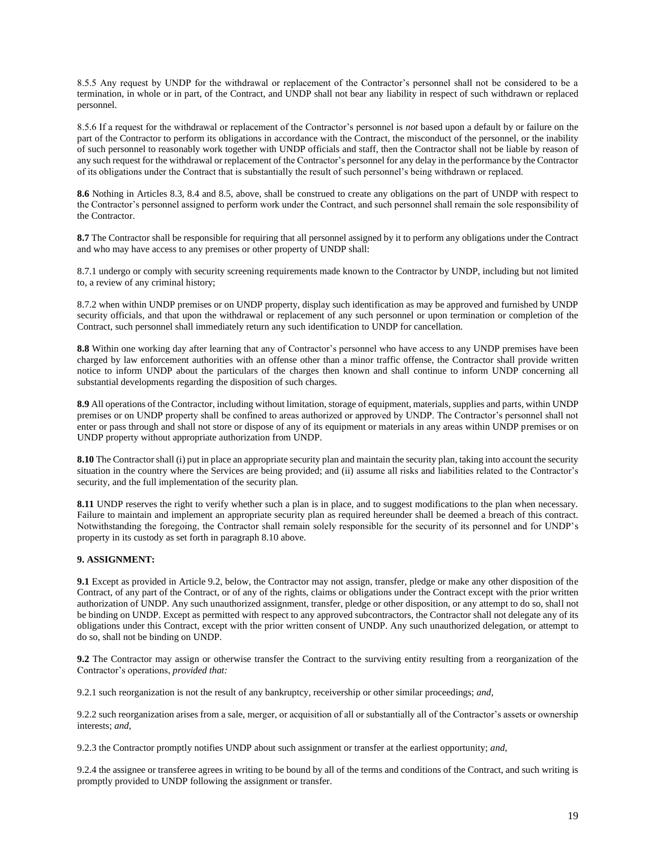8.5.5 Any request by UNDP for the withdrawal or replacement of the Contractor's personnel shall not be considered to be a termination, in whole or in part, of the Contract, and UNDP shall not bear any liability in respect of such withdrawn or replaced personnel.

8.5.6 If a request for the withdrawal or replacement of the Contractor's personnel is *not* based upon a default by or failure on the part of the Contractor to perform its obligations in accordance with the Contract, the misconduct of the personnel, or the inability of such personnel to reasonably work together with UNDP officials and staff, then the Contractor shall not be liable by reason of any such request for the withdrawal or replacement of the Contractor's personnel for any delay in the performance by the Contractor of its obligations under the Contract that is substantially the result of such personnel's being withdrawn or replaced.

**8.6** Nothing in Articles 8.3, 8.4 and 8.5, above, shall be construed to create any obligations on the part of UNDP with respect to the Contractor's personnel assigned to perform work under the Contract, and such personnel shall remain the sole responsibility of the Contractor.

**8.7** The Contractor shall be responsible for requiring that all personnel assigned by it to perform any obligations under the Contract and who may have access to any premises or other property of UNDP shall:

8.7.1 undergo or comply with security screening requirements made known to the Contractor by UNDP, including but not limited to, a review of any criminal history;

8.7.2 when within UNDP premises or on UNDP property, display such identification as may be approved and furnished by UNDP security officials, and that upon the withdrawal or replacement of any such personnel or upon termination or completion of the Contract, such personnel shall immediately return any such identification to UNDP for cancellation.

**8.8** Within one working day after learning that any of Contractor's personnel who have access to any UNDP premises have been charged by law enforcement authorities with an offense other than a minor traffic offense, the Contractor shall provide written notice to inform UNDP about the particulars of the charges then known and shall continue to inform UNDP concerning all substantial developments regarding the disposition of such charges.

**8.9** All operations of the Contractor, including without limitation, storage of equipment, materials, supplies and parts, within UNDP premises or on UNDP property shall be confined to areas authorized or approved by UNDP. The Contractor's personnel shall not enter or pass through and shall not store or dispose of any of its equipment or materials in any areas within UNDP premises or on UNDP property without appropriate authorization from UNDP.

**8.10** The Contractor shall (i) put in place an appropriate security plan and maintain the security plan, taking into account the security situation in the country where the Services are being provided; and (ii) assume all risks and liabilities related to the Contractor's security, and the full implementation of the security plan.

**8.11** UNDP reserves the right to verify whether such a plan is in place, and to suggest modifications to the plan when necessary. Failure to maintain and implement an appropriate security plan as required hereunder shall be deemed a breach of this contract. Notwithstanding the foregoing, the Contractor shall remain solely responsible for the security of its personnel and for UNDP's property in its custody as set forth in paragraph 8.10 above.

#### **9. ASSIGNMENT:**

**9.1** Except as provided in Article 9.2, below, the Contractor may not assign, transfer, pledge or make any other disposition of the Contract, of any part of the Contract, or of any of the rights, claims or obligations under the Contract except with the prior written authorization of UNDP. Any such unauthorized assignment, transfer, pledge or other disposition, or any attempt to do so, shall not be binding on UNDP. Except as permitted with respect to any approved subcontractors, the Contractor shall not delegate any of its obligations under this Contract, except with the prior written consent of UNDP. Any such unauthorized delegation, or attempt to do so, shall not be binding on UNDP.

**9.2** The Contractor may assign or otherwise transfer the Contract to the surviving entity resulting from a reorganization of the Contractor's operations, *provided that:* 

9.2.1 such reorganization is not the result of any bankruptcy, receivership or other similar proceedings; *and,* 

9.2.2 such reorganization arises from a sale, merger, or acquisition of all or substantially all of the Contractor's assets or ownership interests; *and*,

9.2.3 the Contractor promptly notifies UNDP about such assignment or transfer at the earliest opportunity; *and*,

9.2.4 the assignee or transferee agrees in writing to be bound by all of the terms and conditions of the Contract, and such writing is promptly provided to UNDP following the assignment or transfer.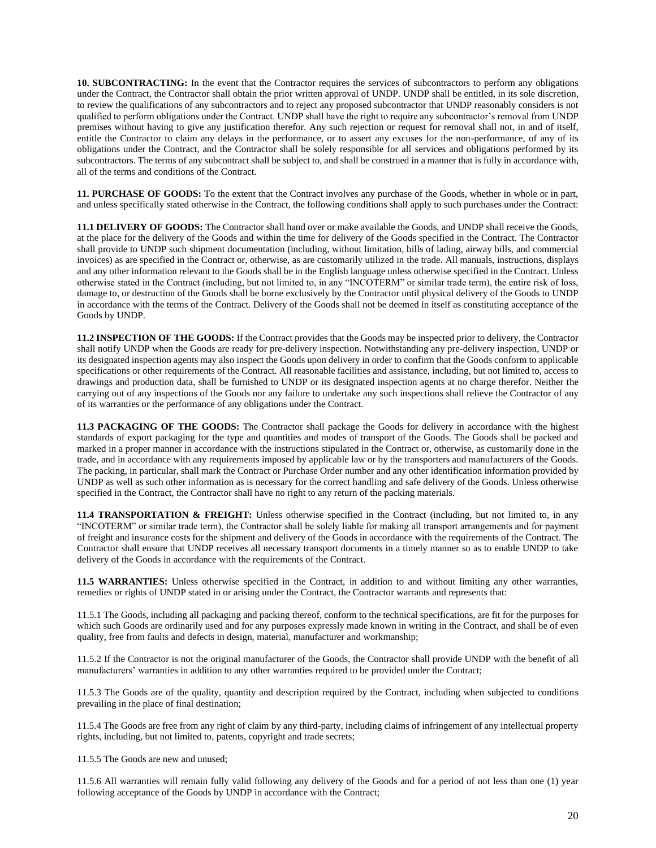**10. SUBCONTRACTING:** In the event that the Contractor requires the services of subcontractors to perform any obligations under the Contract, the Contractor shall obtain the prior written approval of UNDP. UNDP shall be entitled, in its sole discretion, to review the qualifications of any subcontractors and to reject any proposed subcontractor that UNDP reasonably considers is not qualified to perform obligations under the Contract. UNDP shall have the right to require any subcontractor's removal from UNDP premises without having to give any justification therefor. Any such rejection or request for removal shall not, in and of itself, entitle the Contractor to claim any delays in the performance, or to assert any excuses for the non-performance, of any of its obligations under the Contract, and the Contractor shall be solely responsible for all services and obligations performed by its subcontractors. The terms of any subcontract shall be subject to, and shall be construed in a manner that is fully in accordance with, all of the terms and conditions of the Contract.

**11. PURCHASE OF GOODS:** To the extent that the Contract involves any purchase of the Goods, whether in whole or in part, and unless specifically stated otherwise in the Contract, the following conditions shall apply to such purchases under the Contract:

**11.1 DELIVERY OF GOODS:** The Contractor shall hand over or make available the Goods, and UNDP shall receive the Goods, at the place for the delivery of the Goods and within the time for delivery of the Goods specified in the Contract. The Contractor shall provide to UNDP such shipment documentation (including, without limitation, bills of lading, airway bills, and commercial invoices) as are specified in the Contract or, otherwise, as are customarily utilized in the trade. All manuals, instructions, displays and any other information relevant to the Goods shall be in the English language unless otherwise specified in the Contract. Unless otherwise stated in the Contract (including, but not limited to, in any "INCOTERM" or similar trade term), the entire risk of loss, damage to, or destruction of the Goods shall be borne exclusively by the Contractor until physical delivery of the Goods to UNDP in accordance with the terms of the Contract. Delivery of the Goods shall not be deemed in itself as constituting acceptance of the Goods by UNDP.

**11.2 INSPECTION OF THE GOODS:** If the Contract provides that the Goods may be inspected prior to delivery, the Contractor shall notify UNDP when the Goods are ready for pre-delivery inspection. Notwithstanding any pre-delivery inspection, UNDP or its designated inspection agents may also inspect the Goods upon delivery in order to confirm that the Goods conform to applicable specifications or other requirements of the Contract. All reasonable facilities and assistance, including, but not limited to, access to drawings and production data, shall be furnished to UNDP or its designated inspection agents at no charge therefor. Neither the carrying out of any inspections of the Goods nor any failure to undertake any such inspections shall relieve the Contractor of any of its warranties or the performance of any obligations under the Contract.

**11.3 PACKAGING OF THE GOODS:** The Contractor shall package the Goods for delivery in accordance with the highest standards of export packaging for the type and quantities and modes of transport of the Goods. The Goods shall be packed and marked in a proper manner in accordance with the instructions stipulated in the Contract or, otherwise, as customarily done in the trade, and in accordance with any requirements imposed by applicable law or by the transporters and manufacturers of the Goods. The packing, in particular, shall mark the Contract or Purchase Order number and any other identification information provided by UNDP as well as such other information as is necessary for the correct handling and safe delivery of the Goods. Unless otherwise specified in the Contract, the Contractor shall have no right to any return of the packing materials.

**11.4 TRANSPORTATION & FREIGHT:** Unless otherwise specified in the Contract (including, but not limited to, in any "INCOTERM" or similar trade term), the Contractor shall be solely liable for making all transport arrangements and for payment of freight and insurance costs for the shipment and delivery of the Goods in accordance with the requirements of the Contract. The Contractor shall ensure that UNDP receives all necessary transport documents in a timely manner so as to enable UNDP to take delivery of the Goods in accordance with the requirements of the Contract.

**11.5 WARRANTIES:** Unless otherwise specified in the Contract, in addition to and without limiting any other warranties, remedies or rights of UNDP stated in or arising under the Contract, the Contractor warrants and represents that:

11.5.1 The Goods, including all packaging and packing thereof, conform to the technical specifications, are fit for the purposes for which such Goods are ordinarily used and for any purposes expressly made known in writing in the Contract, and shall be of even quality, free from faults and defects in design, material, manufacturer and workmanship;

11.5.2 If the Contractor is not the original manufacturer of the Goods, the Contractor shall provide UNDP with the benefit of all manufacturers' warranties in addition to any other warranties required to be provided under the Contract;

11.5.3 The Goods are of the quality, quantity and description required by the Contract, including when subjected to conditions prevailing in the place of final destination;

11.5.4 The Goods are free from any right of claim by any third-party, including claims of infringement of any intellectual property rights, including, but not limited to, patents, copyright and trade secrets;

11.5.5 The Goods are new and unused;

11.5.6 All warranties will remain fully valid following any delivery of the Goods and for a period of not less than one (1) year following acceptance of the Goods by UNDP in accordance with the Contract;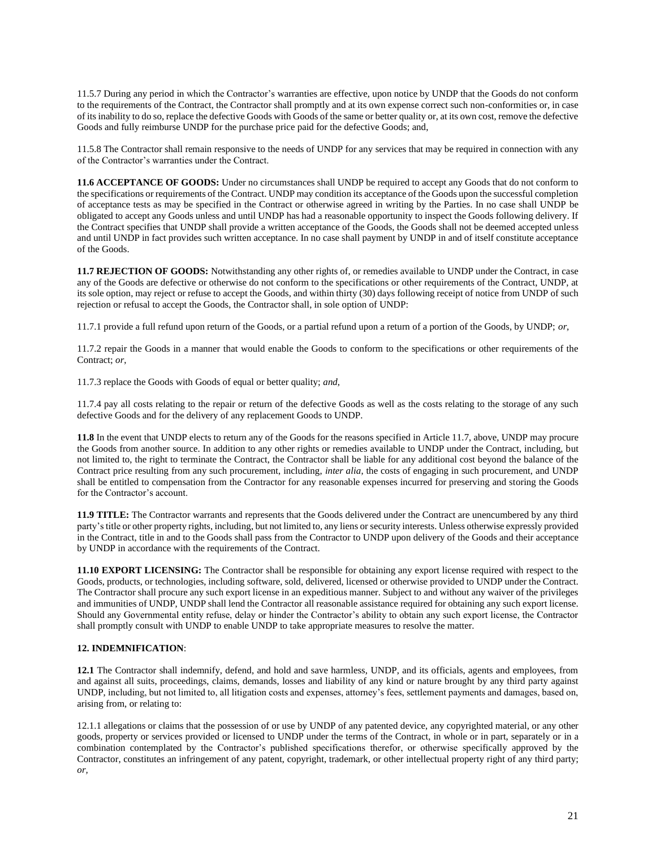11.5.7 During any period in which the Contractor's warranties are effective, upon notice by UNDP that the Goods do not conform to the requirements of the Contract, the Contractor shall promptly and at its own expense correct such non-conformities or, in case of its inability to do so, replace the defective Goods with Goods of the same or better quality or, at its own cost, remove the defective Goods and fully reimburse UNDP for the purchase price paid for the defective Goods; and,

11.5.8 The Contractor shall remain responsive to the needs of UNDP for any services that may be required in connection with any of the Contractor's warranties under the Contract.

**11.6 ACCEPTANCE OF GOODS:** Under no circumstances shall UNDP be required to accept any Goods that do not conform to the specifications or requirements of the Contract. UNDP may condition its acceptance of the Goods upon the successful completion of acceptance tests as may be specified in the Contract or otherwise agreed in writing by the Parties. In no case shall UNDP be obligated to accept any Goods unless and until UNDP has had a reasonable opportunity to inspect the Goods following delivery. If the Contract specifies that UNDP shall provide a written acceptance of the Goods, the Goods shall not be deemed accepted unless and until UNDP in fact provides such written acceptance. In no case shall payment by UNDP in and of itself constitute acceptance of the Goods.

**11.7 REJECTION OF GOODS:** Notwithstanding any other rights of, or remedies available to UNDP under the Contract, in case any of the Goods are defective or otherwise do not conform to the specifications or other requirements of the Contract, UNDP, at its sole option, may reject or refuse to accept the Goods, and within thirty (30) days following receipt of notice from UNDP of such rejection or refusal to accept the Goods, the Contractor shall, in sole option of UNDP:

11.7.1 provide a full refund upon return of the Goods, or a partial refund upon a return of a portion of the Goods, by UNDP; *or,* 

11.7.2 repair the Goods in a manner that would enable the Goods to conform to the specifications or other requirements of the Contract; *or*,

11.7.3 replace the Goods with Goods of equal or better quality; *and*,

11.7.4 pay all costs relating to the repair or return of the defective Goods as well as the costs relating to the storage of any such defective Goods and for the delivery of any replacement Goods to UNDP.

**11.8** In the event that UNDP elects to return any of the Goods for the reasons specified in Article 11.7, above, UNDP may procure the Goods from another source. In addition to any other rights or remedies available to UNDP under the Contract, including, but not limited to, the right to terminate the Contract, the Contractor shall be liable for any additional cost beyond the balance of the Contract price resulting from any such procurement, including, *inter alia*, the costs of engaging in such procurement, and UNDP shall be entitled to compensation from the Contractor for any reasonable expenses incurred for preserving and storing the Goods for the Contractor's account.

**11.9 TITLE:** The Contractor warrants and represents that the Goods delivered under the Contract are unencumbered by any third party's title or other property rights, including, but not limited to, any liens or security interests. Unless otherwise expressly provided in the Contract, title in and to the Goods shall pass from the Contractor to UNDP upon delivery of the Goods and their acceptance by UNDP in accordance with the requirements of the Contract.

**11.10 EXPORT LICENSING:** The Contractor shall be responsible for obtaining any export license required with respect to the Goods, products, or technologies, including software, sold, delivered, licensed or otherwise provided to UNDP under the Contract. The Contractor shall procure any such export license in an expeditious manner. Subject to and without any waiver of the privileges and immunities of UNDP, UNDP shall lend the Contractor all reasonable assistance required for obtaining any such export license. Should any Governmental entity refuse, delay or hinder the Contractor's ability to obtain any such export license, the Contractor shall promptly consult with UNDP to enable UNDP to take appropriate measures to resolve the matter.

#### **12. INDEMNIFICATION**:

**12.1** The Contractor shall indemnify, defend, and hold and save harmless, UNDP, and its officials, agents and employees, from and against all suits, proceedings, claims, demands, losses and liability of any kind or nature brought by any third party against UNDP, including, but not limited to, all litigation costs and expenses, attorney's fees, settlement payments and damages, based on, arising from, or relating to:

12.1.1 allegations or claims that the possession of or use by UNDP of any patented device, any copyrighted material, or any other goods, property or services provided or licensed to UNDP under the terms of the Contract, in whole or in part, separately or in a combination contemplated by the Contractor's published specifications therefor, or otherwise specifically approved by the Contractor, constitutes an infringement of any patent, copyright, trademark, or other intellectual property right of any third party; *or,*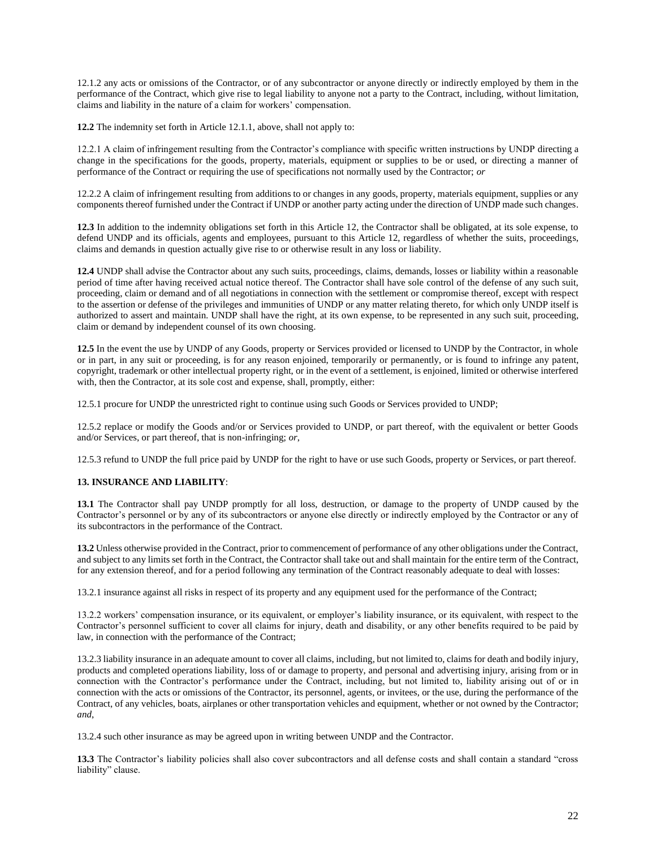12.1.2 any acts or omissions of the Contractor, or of any subcontractor or anyone directly or indirectly employed by them in the performance of the Contract, which give rise to legal liability to anyone not a party to the Contract, including, without limitation, claims and liability in the nature of a claim for workers' compensation.

**12.2** The indemnity set forth in Article 12.1.1, above, shall not apply to:

12.2.1 A claim of infringement resulting from the Contractor's compliance with specific written instructions by UNDP directing a change in the specifications for the goods, property, materials, equipment or supplies to be or used, or directing a manner of performance of the Contract or requiring the use of specifications not normally used by the Contractor; *or* 

12.2.2 A claim of infringement resulting from additions to or changes in any goods, property, materials equipment, supplies or any components thereof furnished under the Contract if UNDP or another party acting under the direction of UNDP made such changes.

**12.3** In addition to the indemnity obligations set forth in this Article 12, the Contractor shall be obligated, at its sole expense, to defend UNDP and its officials, agents and employees, pursuant to this Article 12, regardless of whether the suits, proceedings, claims and demands in question actually give rise to or otherwise result in any loss or liability.

**12.4** UNDP shall advise the Contractor about any such suits, proceedings, claims, demands, losses or liability within a reasonable period of time after having received actual notice thereof. The Contractor shall have sole control of the defense of any such suit, proceeding, claim or demand and of all negotiations in connection with the settlement or compromise thereof, except with respect to the assertion or defense of the privileges and immunities of UNDP or any matter relating thereto, for which only UNDP itself is authorized to assert and maintain. UNDP shall have the right, at its own expense, to be represented in any such suit, proceeding, claim or demand by independent counsel of its own choosing.

**12.5** In the event the use by UNDP of any Goods, property or Services provided or licensed to UNDP by the Contractor, in whole or in part, in any suit or proceeding, is for any reason enjoined, temporarily or permanently, or is found to infringe any patent, copyright, trademark or other intellectual property right, or in the event of a settlement, is enjoined, limited or otherwise interfered with, then the Contractor, at its sole cost and expense, shall, promptly, either:

12.5.1 procure for UNDP the unrestricted right to continue using such Goods or Services provided to UNDP;

12.5.2 replace or modify the Goods and/or or Services provided to UNDP, or part thereof, with the equivalent or better Goods and/or Services, or part thereof, that is non-infringing; *or*,

12.5.3 refund to UNDP the full price paid by UNDP for the right to have or use such Goods, property or Services, or part thereof.

#### **13. INSURANCE AND LIABILITY**:

**13.1** The Contractor shall pay UNDP promptly for all loss, destruction, or damage to the property of UNDP caused by the Contractor's personnel or by any of its subcontractors or anyone else directly or indirectly employed by the Contractor or any of its subcontractors in the performance of the Contract.

**13.2** Unless otherwise provided in the Contract, prior to commencement of performance of any other obligations under the Contract, and subject to any limits set forth in the Contract, the Contractor shall take out and shall maintain for the entire term of the Contract, for any extension thereof, and for a period following any termination of the Contract reasonably adequate to deal with losses:

13.2.1 insurance against all risks in respect of its property and any equipment used for the performance of the Contract;

13.2.2 workers' compensation insurance, or its equivalent, or employer's liability insurance, or its equivalent, with respect to the Contractor's personnel sufficient to cover all claims for injury, death and disability, or any other benefits required to be paid by law, in connection with the performance of the Contract;

13.2.3 liability insurance in an adequate amount to cover all claims, including, but not limited to, claims for death and bodily injury, products and completed operations liability, loss of or damage to property, and personal and advertising injury, arising from or in connection with the Contractor's performance under the Contract, including, but not limited to, liability arising out of or in connection with the acts or omissions of the Contractor, its personnel, agents, or invitees, or the use, during the performance of the Contract, of any vehicles, boats, airplanes or other transportation vehicles and equipment, whether or not owned by the Contractor; *and*,

13.2.4 such other insurance as may be agreed upon in writing between UNDP and the Contractor.

**13.3** The Contractor's liability policies shall also cover subcontractors and all defense costs and shall contain a standard "cross liability" clause.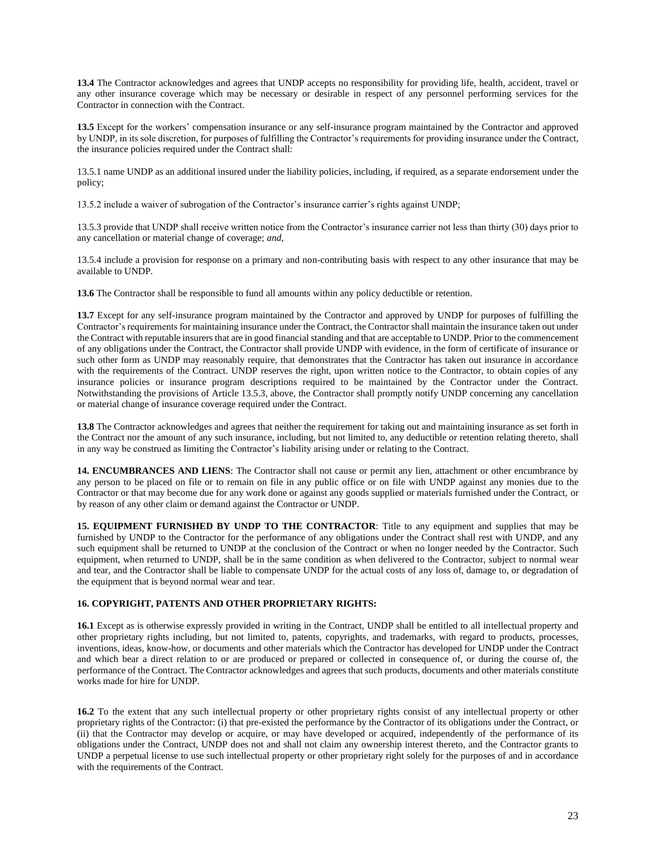**13.4** The Contractor acknowledges and agrees that UNDP accepts no responsibility for providing life, health, accident, travel or any other insurance coverage which may be necessary or desirable in respect of any personnel performing services for the Contractor in connection with the Contract.

**13.5** Except for the workers' compensation insurance or any self-insurance program maintained by the Contractor and approved by UNDP, in its sole discretion, for purposes of fulfilling the Contractor's requirements for providing insurance under the Contract, the insurance policies required under the Contract shall:

13.5.1 name UNDP as an additional insured under the liability policies, including, if required, as a separate endorsement under the policy;

13.5.2 include a waiver of subrogation of the Contractor's insurance carrier's rights against UNDP;

13.5.3 provide that UNDP shall receive written notice from the Contractor's insurance carrier not less than thirty (30) days prior to any cancellation or material change of coverage; *and*,

13.5.4 include a provision for response on a primary and non-contributing basis with respect to any other insurance that may be available to UNDP.

**13.6** The Contractor shall be responsible to fund all amounts within any policy deductible or retention.

**13.7** Except for any self-insurance program maintained by the Contractor and approved by UNDP for purposes of fulfilling the Contractor's requirements for maintaining insurance under the Contract, the Contractor shall maintain the insurance taken out under the Contract with reputable insurers that are in good financial standing and that are acceptable to UNDP. Prior to the commencement of any obligations under the Contract, the Contractor shall provide UNDP with evidence, in the form of certificate of insurance or such other form as UNDP may reasonably require, that demonstrates that the Contractor has taken out insurance in accordance with the requirements of the Contract. UNDP reserves the right, upon written notice to the Contractor, to obtain copies of any insurance policies or insurance program descriptions required to be maintained by the Contractor under the Contract. Notwithstanding the provisions of Article 13.5.3, above, the Contractor shall promptly notify UNDP concerning any cancellation or material change of insurance coverage required under the Contract.

**13.8** The Contractor acknowledges and agrees that neither the requirement for taking out and maintaining insurance as set forth in the Contract nor the amount of any such insurance, including, but not limited to, any deductible or retention relating thereto, shall in any way be construed as limiting the Contractor's liability arising under or relating to the Contract.

**14. ENCUMBRANCES AND LIENS**: The Contractor shall not cause or permit any lien, attachment or other encumbrance by any person to be placed on file or to remain on file in any public office or on file with UNDP against any monies due to the Contractor or that may become due for any work done or against any goods supplied or materials furnished under the Contract, or by reason of any other claim or demand against the Contractor or UNDP.

**15. EQUIPMENT FURNISHED BY UNDP TO THE CONTRACTOR**: Title to any equipment and supplies that may be furnished by UNDP to the Contractor for the performance of any obligations under the Contract shall rest with UNDP, and any such equipment shall be returned to UNDP at the conclusion of the Contract or when no longer needed by the Contractor. Such equipment, when returned to UNDP, shall be in the same condition as when delivered to the Contractor, subject to normal wear and tear, and the Contractor shall be liable to compensate UNDP for the actual costs of any loss of, damage to, or degradation of the equipment that is beyond normal wear and tear.

#### **16. COPYRIGHT, PATENTS AND OTHER PROPRIETARY RIGHTS:**

**16.1** Except as is otherwise expressly provided in writing in the Contract, UNDP shall be entitled to all intellectual property and other proprietary rights including, but not limited to, patents, copyrights, and trademarks, with regard to products, processes, inventions, ideas, know-how, or documents and other materials which the Contractor has developed for UNDP under the Contract and which bear a direct relation to or are produced or prepared or collected in consequence of, or during the course of, the performance of the Contract. The Contractor acknowledges and agrees that such products, documents and other materials constitute works made for hire for UNDP.

**16.2** To the extent that any such intellectual property or other proprietary rights consist of any intellectual property or other proprietary rights of the Contractor: (i) that pre-existed the performance by the Contractor of its obligations under the Contract, or (ii) that the Contractor may develop or acquire, or may have developed or acquired, independently of the performance of its obligations under the Contract, UNDP does not and shall not claim any ownership interest thereto, and the Contractor grants to UNDP a perpetual license to use such intellectual property or other proprietary right solely for the purposes of and in accordance with the requirements of the Contract.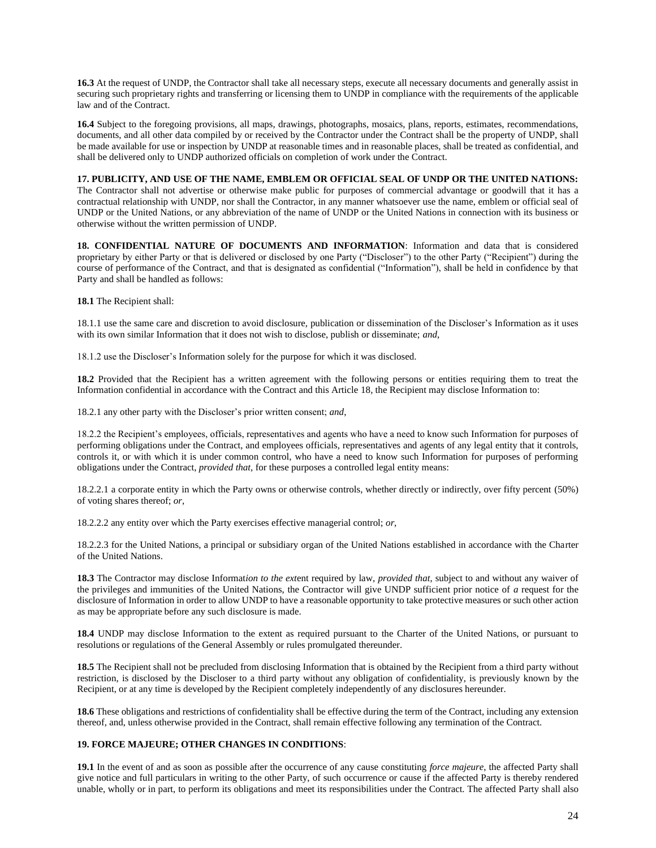**16.3** At the request of UNDP, the Contractor shall take all necessary steps, execute all necessary documents and generally assist in securing such proprietary rights and transferring or licensing them to UNDP in compliance with the requirements of the applicable law and of the Contract.

**16.4** Subject to the foregoing provisions, all maps, drawings, photographs, mosaics, plans, reports, estimates, recommendations, documents, and all other data compiled by or received by the Contractor under the Contract shall be the property of UNDP, shall be made available for use or inspection by UNDP at reasonable times and in reasonable places, shall be treated as confidential, and shall be delivered only to UNDP authorized officials on completion of work under the Contract.

**17. PUBLICITY, AND USE OF THE NAME, EMBLEM OR OFFICIAL SEAL OF UNDP OR THE UNITED NATIONS:**  The Contractor shall not advertise or otherwise make public for purposes of commercial advantage or goodwill that it has a contractual relationship with UNDP, nor shall the Contractor, in any manner whatsoever use the name, emblem or official seal of UNDP or the United Nations, or any abbreviation of the name of UNDP or the United Nations in connection with its business or otherwise without the written permission of UNDP.

**18. CONFIDENTIAL NATURE OF DOCUMENTS AND INFORMATION**: Information and data that is considered proprietary by either Party or that is delivered or disclosed by one Party ("Discloser") to the other Party ("Recipient") during the course of performance of the Contract, and that is designated as confidential ("Information"), shall be held in confidence by that Party and shall be handled as follows:

**18.1** The Recipient shall:

18.1.1 use the same care and discretion to avoid disclosure, publication or dissemination of the Discloser's Information as it uses with its own similar Information that it does not wish to disclose, publish or disseminate; *and*,

18.1.2 use the Discloser's Information solely for the purpose for which it was disclosed.

**18.2** Provided that the Recipient has a written agreement with the following persons or entities requiring them to treat the Information confidential in accordance with the Contract and this Article 18, the Recipient may disclose Information to:

18.2.1 any other party with the Discloser's prior written consent; *and*,

18.2.2 the Recipient's employees, officials, representatives and agents who have a need to know such Information for purposes of performing obligations under the Contract, and employees officials, representatives and agents of any legal entity that it controls, controls it, or with which it is under common control, who have a need to know such Information for purposes of performing obligations under the Contract, *provided that,* for these purposes a controlled legal entity means:

18.2.2.1 a corporate entity in which the Party owns or otherwise controls, whether directly or indirectly, over fifty percent (50%) of voting shares thereof; *or*,

18.2.2.2 any entity over which the Party exercises effective managerial control; *or*,

18.2.2.3 for the United Nations, a principal or subsidiary organ of the United Nations established in accordance with the Charter of the United Nations.

**18.3** The Contractor may disclose Informat*ion to the ext*ent required by law, *provided that*, subject to and without any waiver of the privileges and immunities of the United Nations, the Contractor will give UNDP sufficient prior notice of *a* request for the disclosure of Information in order to allow UNDP to have a reasonable opportunity to take protective measures or such other action as may be appropriate before any such disclosure is made.

**18.4** UNDP may disclose Information to the extent as required pursuant to the Charter of the United Nations, or pursuant to resolutions or regulations of the General Assembly or rules promulgated thereunder.

**18.5** The Recipient shall not be precluded from disclosing Information that is obtained by the Recipient from a third party without restriction, is disclosed by the Discloser to a third party without any obligation of confidentiality, is previously known by the Recipient, or at any time is developed by the Recipient completely independently of any disclosures hereunder.

**18.6** These obligations and restrictions of confidentiality shall be effective during the term of the Contract, including any extension thereof, and, unless otherwise provided in the Contract, shall remain effective following any termination of the Contract.

#### **19. FORCE MAJEURE; OTHER CHANGES IN CONDITIONS**:

**19.1** In the event of and as soon as possible after the occurrence of any cause constituting *force majeure*, the affected Party shall give notice and full particulars in writing to the other Party, of such occurrence or cause if the affected Party is thereby rendered unable, wholly or in part, to perform its obligations and meet its responsibilities under the Contract. The affected Party shall also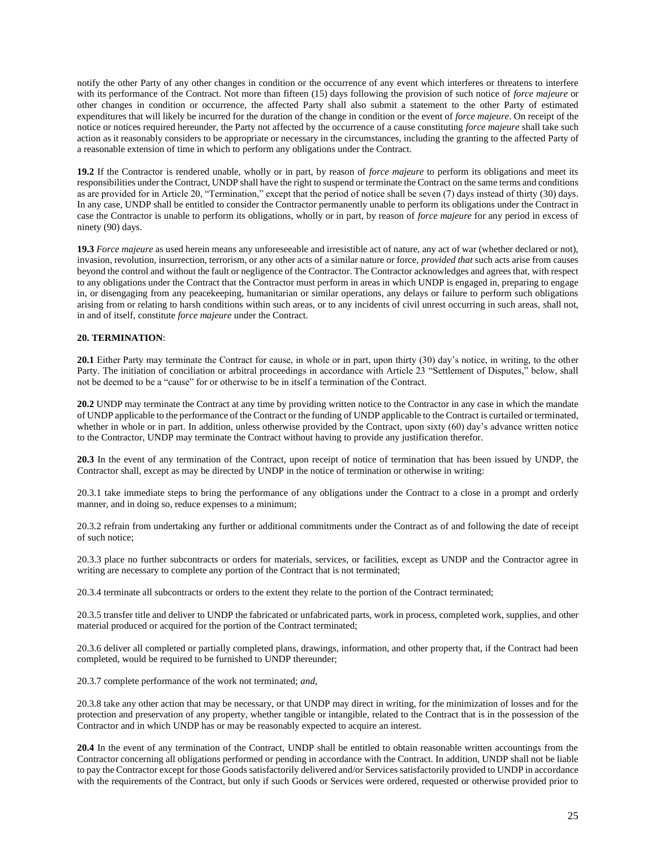notify the other Party of any other changes in condition or the occurrence of any event which interferes or threatens to interfere with its performance of the Contract. Not more than fifteen (15) days following the provision of such notice of *force majeure* or other changes in condition or occurrence, the affected Party shall also submit a statement to the other Party of estimated expenditures that will likely be incurred for the duration of the change in condition or the event of *force majeure*. On receipt of the notice or notices required hereunder, the Party not affected by the occurrence of a cause constituting *force majeure* shall take such action as it reasonably considers to be appropriate or necessary in the circumstances, including the granting to the affected Party of a reasonable extension of time in which to perform any obligations under the Contract.

**19.2** If the Contractor is rendered unable, wholly or in part, by reason of *force majeure* to perform its obligations and meet its responsibilities under the Contract, UNDP shall have the right to suspend or terminate the Contract on the same terms and conditions as are provided for in Article 20, "Termination," except that the period of notice shall be seven (7) days instead of thirty (30) days. In any case, UNDP shall be entitled to consider the Contractor permanently unable to perform its obligations under the Contract in case the Contractor is unable to perform its obligations, wholly or in part, by reason of *force majeure* for any period in excess of ninety (90) days.

**19.3** *Force majeure* as used herein means any unforeseeable and irresistible act of nature, any act of war (whether declared or not), invasion, revolution, insurrection, terrorism, or any other acts of a similar nature or force, *provided that* such acts arise from causes beyond the control and without the fault or negligence of the Contractor. The Contractor acknowledges and agrees that, with respect to any obligations under the Contract that the Contractor must perform in areas in which UNDP is engaged in, preparing to engage in, or disengaging from any peacekeeping, humanitarian or similar operations, any delays or failure to perform such obligations arising from or relating to harsh conditions within such areas, or to any incidents of civil unrest occurring in such areas, shall not, in and of itself, constitute *force majeure* under the Contract.

#### **20. TERMINATION**:

**20.1** Either Party may terminate the Contract for cause, in whole or in part, upon thirty (30) day's notice, in writing, to the other Party. The initiation of conciliation or arbitral proceedings in accordance with Article 23 "Settlement of Disputes," below, shall not be deemed to be a "cause" for or otherwise to be in itself a termination of the Contract.

**20.2** UNDP may terminate the Contract at any time by providing written notice to the Contractor in any case in which the mandate of UNDP applicable to the performance of the Contract or the funding of UNDP applicable to the Contract is curtailed or terminated, whether in whole or in part. In addition, unless otherwise provided by the Contract, upon sixty (60) day's advance written notice to the Contractor, UNDP may terminate the Contract without having to provide any justification therefor.

**20.3** In the event of any termination of the Contract, upon receipt of notice of termination that has been issued by UNDP, the Contractor shall, except as may be directed by UNDP in the notice of termination or otherwise in writing:

20.3.1 take immediate steps to bring the performance of any obligations under the Contract to a close in a prompt and orderly manner, and in doing so, reduce expenses to a minimum;

20.3.2 refrain from undertaking any further or additional commitments under the Contract as of and following the date of receipt of such notice;

20.3.3 place no further subcontracts or orders for materials, services, or facilities, except as UNDP and the Contractor agree in writing are necessary to complete any portion of the Contract that is not terminated;

20.3.4 terminate all subcontracts or orders to the extent they relate to the portion of the Contract terminated;

20.3.5 transfer title and deliver to UNDP the fabricated or unfabricated parts, work in process, completed work, supplies, and other material produced or acquired for the portion of the Contract terminated;

20.3.6 deliver all completed or partially completed plans, drawings, information, and other property that, if the Contract had been completed, would be required to be furnished to UNDP thereunder;

20.3.7 complete performance of the work not terminated; *and*,

20.3.8 take any other action that may be necessary, or that UNDP may direct in writing, for the minimization of losses and for the protection and preservation of any property, whether tangible or intangible, related to the Contract that is in the possession of the Contractor and in which UNDP has or may be reasonably expected to acquire an interest.

**20.4** In the event of any termination of the Contract, UNDP shall be entitled to obtain reasonable written accountings from the Contractor concerning all obligations performed or pending in accordance with the Contract. In addition, UNDP shall not be liable to pay the Contractor except for those Goods satisfactorily delivered and/or Services satisfactorily provided to UNDP in accordance with the requirements of the Contract, but only if such Goods or Services were ordered, requested or otherwise provided prior to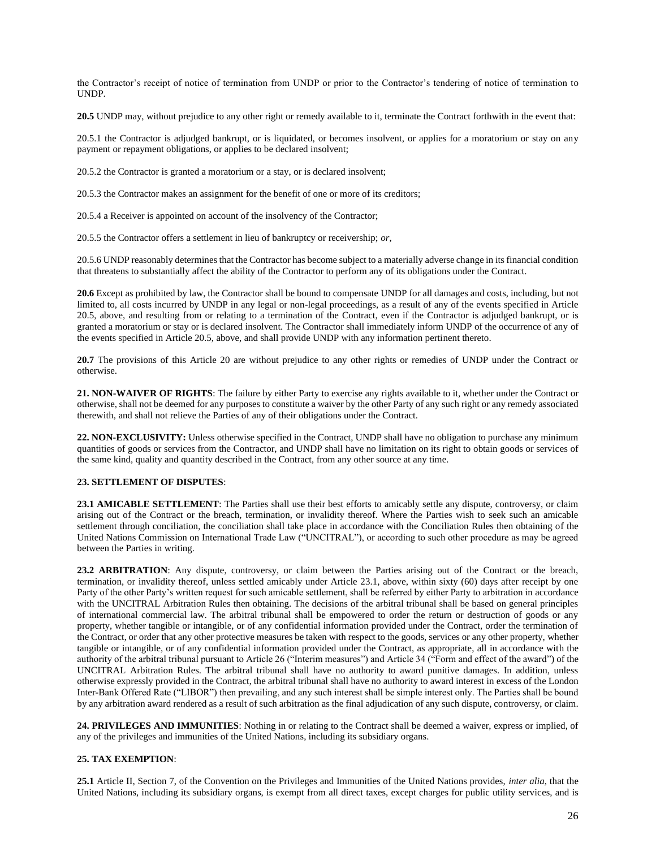the Contractor's receipt of notice of termination from UNDP or prior to the Contractor's tendering of notice of termination to UNDP.

**20.5** UNDP may, without prejudice to any other right or remedy available to it, terminate the Contract forthwith in the event that:

20.5.1 the Contractor is adjudged bankrupt, or is liquidated, or becomes insolvent, or applies for a moratorium or stay on any payment or repayment obligations, or applies to be declared insolvent;

20.5.2 the Contractor is granted a moratorium or a stay, or is declared insolvent;

20.5.3 the Contractor makes an assignment for the benefit of one or more of its creditors;

20.5.4 a Receiver is appointed on account of the insolvency of the Contractor;

20.5.5 the Contractor offers a settlement in lieu of bankruptcy or receivership; *or,* 

20.5.6 UNDP reasonably determines that the Contractor has become subject to a materially adverse change in its financial condition that threatens to substantially affect the ability of the Contractor to perform any of its obligations under the Contract.

**20.6** Except as prohibited by law, the Contractor shall be bound to compensate UNDP for all damages and costs, including, but not limited to, all costs incurred by UNDP in any legal or non-legal proceedings, as a result of any of the events specified in Article 20.5, above, and resulting from or relating to a termination of the Contract, even if the Contractor is adjudged bankrupt, or is granted a moratorium or stay or is declared insolvent. The Contractor shall immediately inform UNDP of the occurrence of any of the events specified in Article 20.5, above, and shall provide UNDP with any information pertinent thereto.

**20.7** The provisions of this Article 20 are without prejudice to any other rights or remedies of UNDP under the Contract or otherwise.

**21. NON-WAIVER OF RIGHTS**: The failure by either Party to exercise any rights available to it, whether under the Contract or otherwise, shall not be deemed for any purposes to constitute a waiver by the other Party of any such right or any remedy associated therewith, and shall not relieve the Parties of any of their obligations under the Contract.

**22. NON-EXCLUSIVITY:** Unless otherwise specified in the Contract, UNDP shall have no obligation to purchase any minimum quantities of goods or services from the Contractor, and UNDP shall have no limitation on its right to obtain goods or services of the same kind, quality and quantity described in the Contract, from any other source at any time.

#### **23. SETTLEMENT OF DISPUTES**:

**23.1 AMICABLE SETTLEMENT**: The Parties shall use their best efforts to amicably settle any dispute, controversy, or claim arising out of the Contract or the breach, termination, or invalidity thereof. Where the Parties wish to seek such an amicable settlement through conciliation, the conciliation shall take place in accordance with the Conciliation Rules then obtaining of the United Nations Commission on International Trade Law ("UNCITRAL"), or according to such other procedure as may be agreed between the Parties in writing.

**23.2 ARBITRATION**: Any dispute, controversy, or claim between the Parties arising out of the Contract or the breach, termination, or invalidity thereof, unless settled amicably under Article 23.1, above, within sixty (60) days after receipt by one Party of the other Party's written request for such amicable settlement, shall be referred by either Party to arbitration in accordance with the UNCITRAL Arbitration Rules then obtaining. The decisions of the arbitral tribunal shall be based on general principles of international commercial law. The arbitral tribunal shall be empowered to order the return or destruction of goods or any property, whether tangible or intangible, or of any confidential information provided under the Contract, order the termination of the Contract, or order that any other protective measures be taken with respect to the goods, services or any other property, whether tangible or intangible, or of any confidential information provided under the Contract, as appropriate, all in accordance with the authority of the arbitral tribunal pursuant to Article 26 ("Interim measures") and Article 34 ("Form and effect of the award") of the UNCITRAL Arbitration Rules. The arbitral tribunal shall have no authority to award punitive damages. In addition, unless otherwise expressly provided in the Contract, the arbitral tribunal shall have no authority to award interest in excess of the London Inter-Bank Offered Rate ("LIBOR") then prevailing, and any such interest shall be simple interest only. The Parties shall be bound by any arbitration award rendered as a result of such arbitration as the final adjudication of any such dispute, controversy, or claim.

**24. PRIVILEGES AND IMMUNITIES**: Nothing in or relating to the Contract shall be deemed a waiver, express or implied, of any of the privileges and immunities of the United Nations, including its subsidiary organs.

#### **25. TAX EXEMPTION**:

**25.1** Article II, Section 7, of the Convention on the Privileges and Immunities of the United Nations provides, *inter alia*, that the United Nations, including its subsidiary organs, is exempt from all direct taxes, except charges for public utility services, and is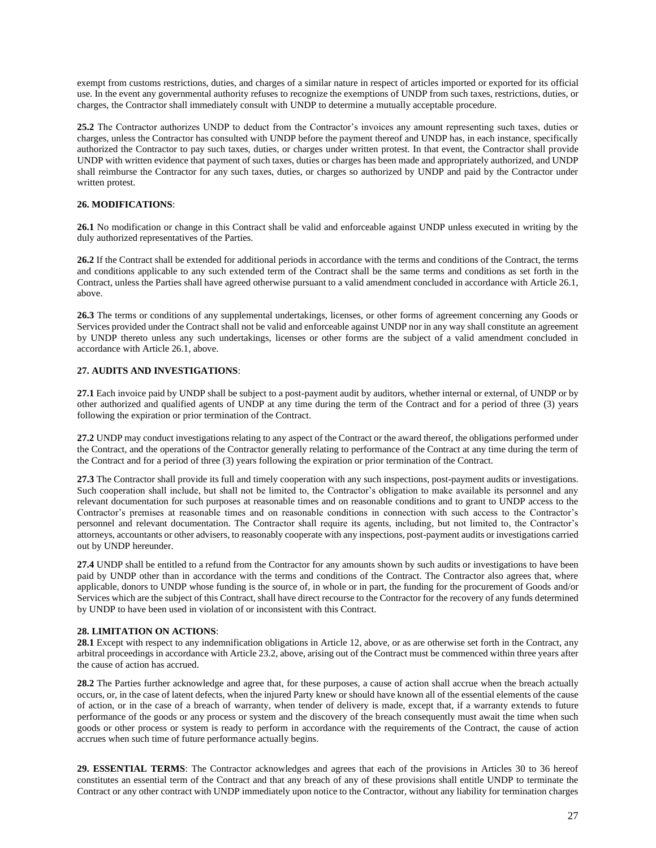exempt from customs restrictions, duties, and charges of a similar nature in respect of articles imported or exported for its official use. In the event any governmental authority refuses to recognize the exemptions of UNDP from such taxes, restrictions, duties, or charges, the Contractor shall immediately consult with UNDP to determine a mutually acceptable procedure.

**25.2** The Contractor authorizes UNDP to deduct from the Contractor's invoices any amount representing such taxes, duties or charges, unless the Contractor has consulted with UNDP before the payment thereof and UNDP has, in each instance, specifically authorized the Contractor to pay such taxes, duties, or charges under written protest. In that event, the Contractor shall provide UNDP with written evidence that payment of such taxes, duties or charges has been made and appropriately authorized, and UNDP shall reimburse the Contractor for any such taxes, duties, or charges so authorized by UNDP and paid by the Contractor under written protest.

#### **26. MODIFICATIONS**:

**26.1** No modification or change in this Contract shall be valid and enforceable against UNDP unless executed in writing by the duly authorized representatives of the Parties.

**26.2** If the Contract shall be extended for additional periods in accordance with the terms and conditions of the Contract, the terms and conditions applicable to any such extended term of the Contract shall be the same terms and conditions as set forth in the Contract, unless the Parties shall have agreed otherwise pursuant to a valid amendment concluded in accordance with Article 26.1, above.

**26.3** The terms or conditions of any supplemental undertakings, licenses, or other forms of agreement concerning any Goods or Services provided under the Contract shall not be valid and enforceable against UNDP nor in any way shall constitute an agreement by UNDP thereto unless any such undertakings, licenses or other forms are the subject of a valid amendment concluded in accordance with Article 26.1, above.

#### **27. AUDITS AND INVESTIGATIONS**:

**27.1** Each invoice paid by UNDP shall be subject to a post-payment audit by auditors, whether internal or external, of UNDP or by other authorized and qualified agents of UNDP at any time during the term of the Contract and for a period of three (3) years following the expiration or prior termination of the Contract.

**27.2** UNDP may conduct investigations relating to any aspect of the Contract or the award thereof, the obligations performed under the Contract, and the operations of the Contractor generally relating to performance of the Contract at any time during the term of the Contract and for a period of three (3) years following the expiration or prior termination of the Contract.

**27.3** The Contractor shall provide its full and timely cooperation with any such inspections, post-payment audits or investigations. Such cooperation shall include, but shall not be limited to, the Contractor's obligation to make available its personnel and any relevant documentation for such purposes at reasonable times and on reasonable conditions and to grant to UNDP access to the Contractor's premises at reasonable times and on reasonable conditions in connection with such access to the Contractor's personnel and relevant documentation. The Contractor shall require its agents, including, but not limited to, the Contractor's attorneys, accountants or other advisers, to reasonably cooperate with any inspections, post-payment audits or investigations carried out by UNDP hereunder.

**27.4** UNDP shall be entitled to a refund from the Contractor for any amounts shown by such audits or investigations to have been paid by UNDP other than in accordance with the terms and conditions of the Contract. The Contractor also agrees that, where applicable, donors to UNDP whose funding is the source of, in whole or in part, the funding for the procurement of Goods and/or Services which are the subject of this Contract, shall have direct recourse to the Contractor for the recovery of any funds determined by UNDP to have been used in violation of or inconsistent with this Contract.

#### **28. LIMITATION ON ACTIONS**:

**28.1** Except with respect to any indemnification obligations in Article 12, above, or as are otherwise set forth in the Contract, any arbitral proceedings in accordance with Article 23.2, above, arising out of the Contract must be commenced within three years after the cause of action has accrued.

**28.2** The Parties further acknowledge and agree that, for these purposes, a cause of action shall accrue when the breach actually occurs, or, in the case of latent defects, when the injured Party knew or should have known all of the essential elements of the cause of action, or in the case of a breach of warranty, when tender of delivery is made, except that, if a warranty extends to future performance of the goods or any process or system and the discovery of the breach consequently must await the time when such goods or other process or system is ready to perform in accordance with the requirements of the Contract, the cause of action accrues when such time of future performance actually begins.

**29. ESSENTIAL TERMS**: The Contractor acknowledges and agrees that each of the provisions in Articles 30 to 36 hereof constitutes an essential term of the Contract and that any breach of any of these provisions shall entitle UNDP to terminate the Contract or any other contract with UNDP immediately upon notice to the Contractor, without any liability for termination charges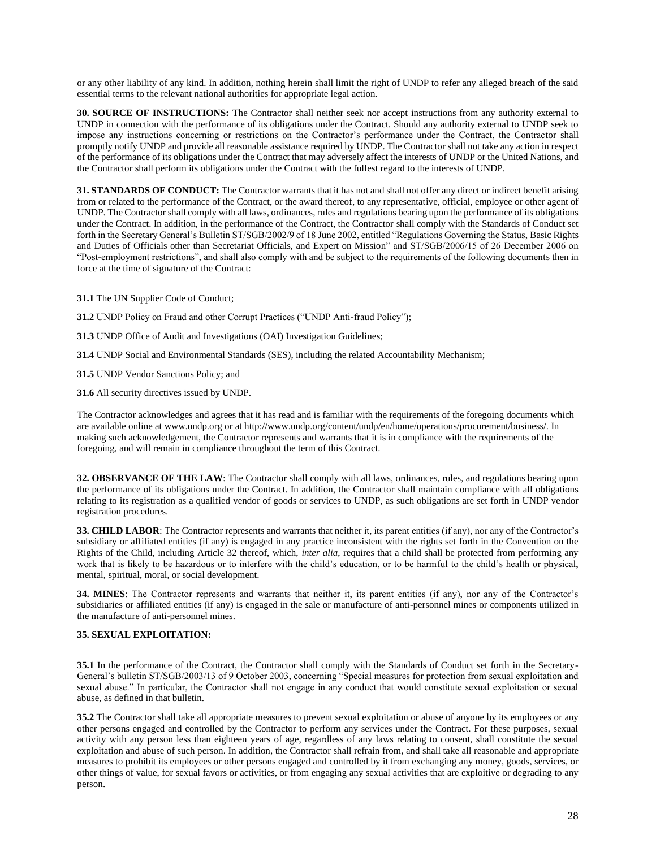or any other liability of any kind. In addition, nothing herein shall limit the right of UNDP to refer any alleged breach of the said essential terms to the relevant national authorities for appropriate legal action.

**30. SOURCE OF INSTRUCTIONS:** The Contractor shall neither seek nor accept instructions from any authority external to UNDP in connection with the performance of its obligations under the Contract. Should any authority external to UNDP seek to impose any instructions concerning or restrictions on the Contractor's performance under the Contract, the Contractor shall promptly notify UNDP and provide all reasonable assistance required by UNDP. The Contractor shall not take any action in respect of the performance of its obligations under the Contract that may adversely affect the interests of UNDP or the United Nations, and the Contractor shall perform its obligations under the Contract with the fullest regard to the interests of UNDP.

**31. STANDARDS OF CONDUCT:** The Contractor warrants that it has not and shall not offer any direct or indirect benefit arising from or related to the performance of the Contract, or the award thereof, to any representative, official, employee or other agent of UNDP. The Contractor shall comply with all laws, ordinances, rules and regulations bearing upon the performance of its obligations under the Contract. In addition, in the performance of the Contract, the Contractor shall comply with the Standards of Conduct set forth in the Secretary General's Bulletin ST/SGB/2002/9 of 18 June 2002, entitled "Regulations Governing the Status, Basic Rights and Duties of Officials other than Secretariat Officials, and Expert on Mission" and ST/SGB/2006/15 of 26 December 2006 on "Post-employment restrictions", and shall also comply with and be subject to the requirements of the following documents then in force at the time of signature of the Contract:

**31.1** The UN Supplier Code of Conduct;

**31.2** UNDP Policy on Fraud and other Corrupt Practices ("UNDP Anti-fraud Policy");

**31.3** UNDP Office of Audit and Investigations (OAI) Investigation Guidelines;

**31.4** UNDP Social and Environmental Standards (SES), including the related Accountability Mechanism;

**31.5** UNDP Vendor Sanctions Policy; and

**31.6** All security directives issued by UNDP.

The Contractor acknowledges and agrees that it has read and is familiar with the requirements of the foregoing documents which are available online at www.undp.org or at http://www.undp.org/content/undp/en/home/operations/procurement/business/. In making such acknowledgement, the Contractor represents and warrants that it is in compliance with the requirements of the foregoing, and will remain in compliance throughout the term of this Contract.

**32. OBSERVANCE OF THE LAW**: The Contractor shall comply with all laws, ordinances, rules, and regulations bearing upon the performance of its obligations under the Contract. In addition, the Contractor shall maintain compliance with all obligations relating to its registration as a qualified vendor of goods or services to UNDP, as such obligations are set forth in UNDP vendor registration procedures.

**33. CHILD LABOR**: The Contractor represents and warrants that neither it, its parent entities (if any), nor any of the Contractor's subsidiary or affiliated entities (if any) is engaged in any practice inconsistent with the rights set forth in the Convention on the Rights of the Child, including Article 32 thereof, which, *inter alia*, requires that a child shall be protected from performing any work that is likely to be hazardous or to interfere with the child's education, or to be harmful to the child's health or physical, mental, spiritual, moral, or social development.

**34. MINES**: The Contractor represents and warrants that neither it, its parent entities (if any), nor any of the Contractor's subsidiaries or affiliated entities (if any) is engaged in the sale or manufacture of anti-personnel mines or components utilized in the manufacture of anti-personnel mines.

#### **35. SEXUAL EXPLOITATION:**

**35.1** In the performance of the Contract, the Contractor shall comply with the Standards of Conduct set forth in the Secretary-General's bulletin ST/SGB/2003/13 of 9 October 2003, concerning "Special measures for protection from sexual exploitation and sexual abuse." In particular, the Contractor shall not engage in any conduct that would constitute sexual exploitation or sexual abuse, as defined in that bulletin.

**35.2** The Contractor shall take all appropriate measures to prevent sexual exploitation or abuse of anyone by its employees or any other persons engaged and controlled by the Contractor to perform any services under the Contract. For these purposes, sexual activity with any person less than eighteen years of age, regardless of any laws relating to consent, shall constitute the sexual exploitation and abuse of such person. In addition, the Contractor shall refrain from, and shall take all reasonable and appropriate measures to prohibit its employees or other persons engaged and controlled by it from exchanging any money, goods, services, or other things of value, for sexual favors or activities, or from engaging any sexual activities that are exploitive or degrading to any person.